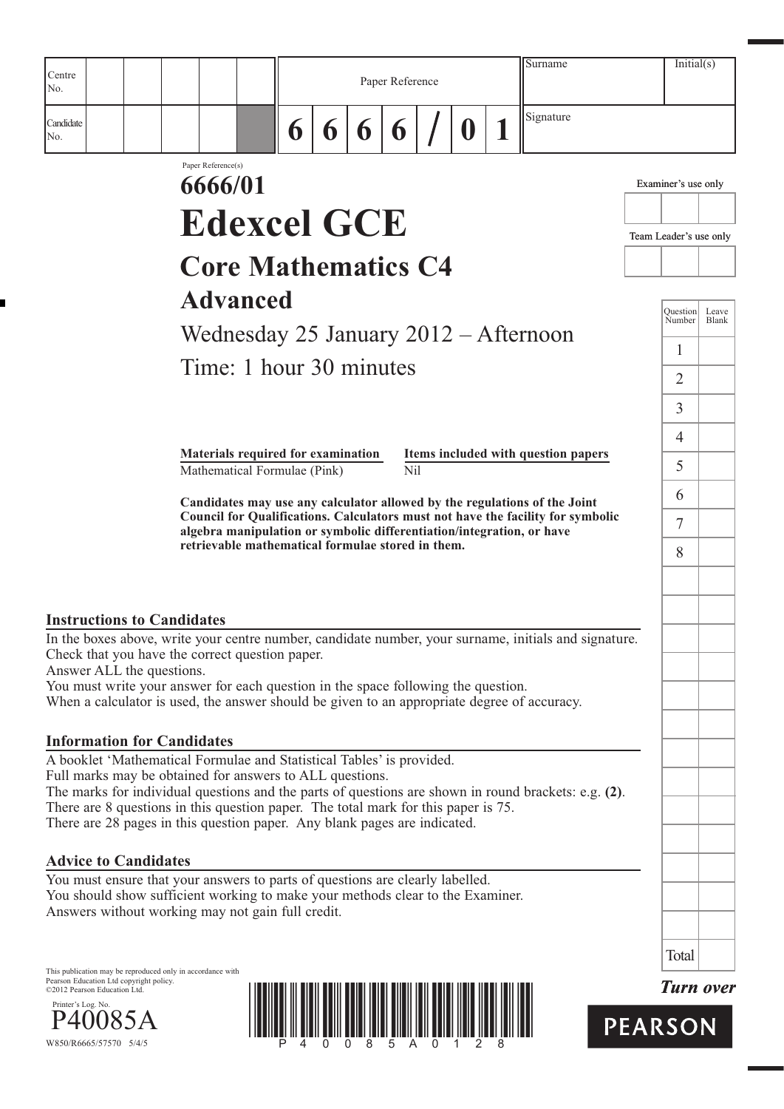| Centre<br>No.                                                                                                                                                                                                                                                                                                                                                                                                |                                                                    |   |   |   | Paper Reference |          | Surname                                                                                                                                                      |                        | Initial(s)          |                |
|--------------------------------------------------------------------------------------------------------------------------------------------------------------------------------------------------------------------------------------------------------------------------------------------------------------------------------------------------------------------------------------------------------------|--------------------------------------------------------------------|---|---|---|-----------------|----------|--------------------------------------------------------------------------------------------------------------------------------------------------------------|------------------------|---------------------|----------------|
| Candidate<br>No.                                                                                                                                                                                                                                                                                                                                                                                             |                                                                    | 6 | 6 | 6 | 6               | $\bf{0}$ | Signature                                                                                                                                                    |                        |                     |                |
|                                                                                                                                                                                                                                                                                                                                                                                                              | Paper Reference(s)<br>6666/01                                      |   |   |   |                 |          |                                                                                                                                                              |                        | Examiner's use only |                |
|                                                                                                                                                                                                                                                                                                                                                                                                              | <b>Edexcel GCE</b>                                                 |   |   |   |                 |          |                                                                                                                                                              |                        |                     |                |
|                                                                                                                                                                                                                                                                                                                                                                                                              |                                                                    |   |   |   |                 |          |                                                                                                                                                              | Team Leader's use only |                     |                |
|                                                                                                                                                                                                                                                                                                                                                                                                              | <b>Core Mathematics C4</b>                                         |   |   |   |                 |          |                                                                                                                                                              |                        |                     |                |
|                                                                                                                                                                                                                                                                                                                                                                                                              | <b>Advanced</b>                                                    |   |   |   |                 |          |                                                                                                                                                              |                        | Ouestion<br>Number  | Leave<br>Blank |
|                                                                                                                                                                                                                                                                                                                                                                                                              |                                                                    |   |   |   |                 |          | Wednesday 25 January $2012 -$ Afternoon                                                                                                                      |                        | 1                   |                |
|                                                                                                                                                                                                                                                                                                                                                                                                              | Time: 1 hour 30 minutes                                            |   |   |   |                 |          |                                                                                                                                                              |                        | $\overline{2}$      |                |
|                                                                                                                                                                                                                                                                                                                                                                                                              |                                                                    |   |   |   |                 |          |                                                                                                                                                              |                        | 3                   |                |
|                                                                                                                                                                                                                                                                                                                                                                                                              |                                                                    |   |   |   |                 |          |                                                                                                                                                              |                        | 4                   |                |
|                                                                                                                                                                                                                                                                                                                                                                                                              | Materials required for examination<br>Mathematical Formulae (Pink) |   |   |   | Nil             |          | Items included with question papers                                                                                                                          |                        | 5                   |                |
|                                                                                                                                                                                                                                                                                                                                                                                                              |                                                                    |   |   |   |                 |          | Candidates may use any calculator allowed by the regulations of the Joint<br>Council for Qualifications. Calculators must not have the facility for symbolic |                        | 6                   |                |
|                                                                                                                                                                                                                                                                                                                                                                                                              | retrievable mathematical formulae stored in them.                  |   |   |   |                 |          | algebra manipulation or symbolic differentiation/integration, or have                                                                                        |                        | $\overline{7}$<br>8 |                |
|                                                                                                                                                                                                                                                                                                                                                                                                              |                                                                    |   |   |   |                 |          |                                                                                                                                                              |                        |                     |                |
| <b>Instructions to Candidates</b>                                                                                                                                                                                                                                                                                                                                                                            |                                                                    |   |   |   |                 |          |                                                                                                                                                              |                        |                     |                |
| In the boxes above, write your centre number, candidate number, your surname, initials and signature.<br>Check that you have the correct question paper.<br>Answer ALL the questions.<br>You must write your answer for each question in the space following the question.<br>When a calculator is used, the answer should be given to an appropriate degree of accuracy.                                    |                                                                    |   |   |   |                 |          |                                                                                                                                                              |                        |                     |                |
| <b>Information for Candidates</b>                                                                                                                                                                                                                                                                                                                                                                            |                                                                    |   |   |   |                 |          |                                                                                                                                                              |                        |                     |                |
| A booklet 'Mathematical Formulae and Statistical Tables' is provided.<br>Full marks may be obtained for answers to ALL questions.<br>The marks for individual questions and the parts of questions are shown in round brackets: e.g. (2).<br>There are 8 questions in this question paper. The total mark for this paper is 75.<br>There are 28 pages in this question paper. Any blank pages are indicated. |                                                                    |   |   |   |                 |          |                                                                                                                                                              |                        |                     |                |
| <b>Advice to Candidates</b>                                                                                                                                                                                                                                                                                                                                                                                  |                                                                    |   |   |   |                 |          |                                                                                                                                                              |                        |                     |                |
| You must ensure that your answers to parts of questions are clearly labelled.<br>You should show sufficient working to make your methods clear to the Examiner.<br>Answers without working may not gain full credit.                                                                                                                                                                                         |                                                                    |   |   |   |                 |          |                                                                                                                                                              |                        |                     |                |
|                                                                                                                                                                                                                                                                                                                                                                                                              |                                                                    |   |   |   |                 |          |                                                                                                                                                              |                        | Total               |                |
| This publication may be reproduced only in accordance with<br>Pearson Education Ltd copyright policy.<br>©2012 Pearson Education Ltd.                                                                                                                                                                                                                                                                        |                                                                    |   |   |   |                 |          |                                                                                                                                                              |                        | <b>Turn over</b>    |                |
| Printer's Log. No.<br>P40085A                                                                                                                                                                                                                                                                                                                                                                                |                                                                    |   |   |   |                 |          |                                                                                                                                                              | <b>PEARSON</b>         |                     |                |





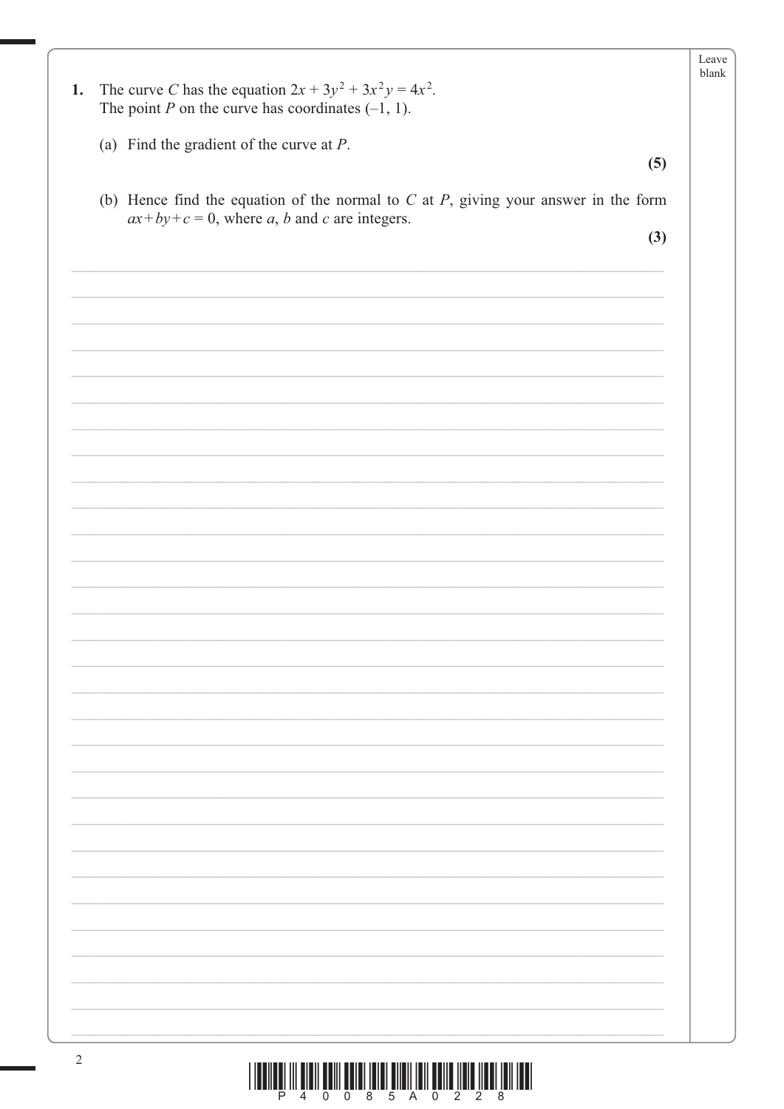|    |                                                                                          | Leave<br>blank |
|----|------------------------------------------------------------------------------------------|----------------|
| 1. | The curve C has the equation $2x + 3y^2 + 3x^2y = 4x^2$ .                                |                |
|    | The point P on the curve has coordinates $(-1, 1)$ .                                     |                |
|    |                                                                                          |                |
|    | (a) Find the gradient of the curve at $P$ .                                              |                |
|    | (5)                                                                                      |                |
|    | (b) Hence find the equation of the normal to $C$ at $P$ , giving your answer in the form |                |
|    | $ax+by+c=0$ , where a, b and c are integers.                                             |                |
|    | (3)                                                                                      |                |
|    |                                                                                          |                |
|    |                                                                                          |                |
|    |                                                                                          |                |
|    |                                                                                          |                |
|    |                                                                                          |                |
|    |                                                                                          |                |
|    |                                                                                          |                |
|    |                                                                                          |                |
|    |                                                                                          |                |
|    |                                                                                          |                |
|    |                                                                                          |                |
|    |                                                                                          |                |
|    |                                                                                          |                |
|    |                                                                                          |                |
|    |                                                                                          |                |
|    |                                                                                          |                |
|    |                                                                                          |                |
|    |                                                                                          |                |
|    |                                                                                          |                |
|    |                                                                                          |                |
|    |                                                                                          |                |
|    |                                                                                          |                |
|    |                                                                                          |                |
|    |                                                                                          |                |
|    |                                                                                          |                |
|    |                                                                                          |                |
|    |                                                                                          |                |
|    |                                                                                          |                |
|    |                                                                                          |                |
|    |                                                                                          |                |
|    |                                                                                          |                |
|    |                                                                                          |                |
|    |                                                                                          |                |
|    |                                                                                          |                |
|    |                                                                                          |                |
|    |                                                                                          |                |
|    |                                                                                          |                |
|    |                                                                                          |                |
|    |                                                                                          |                |

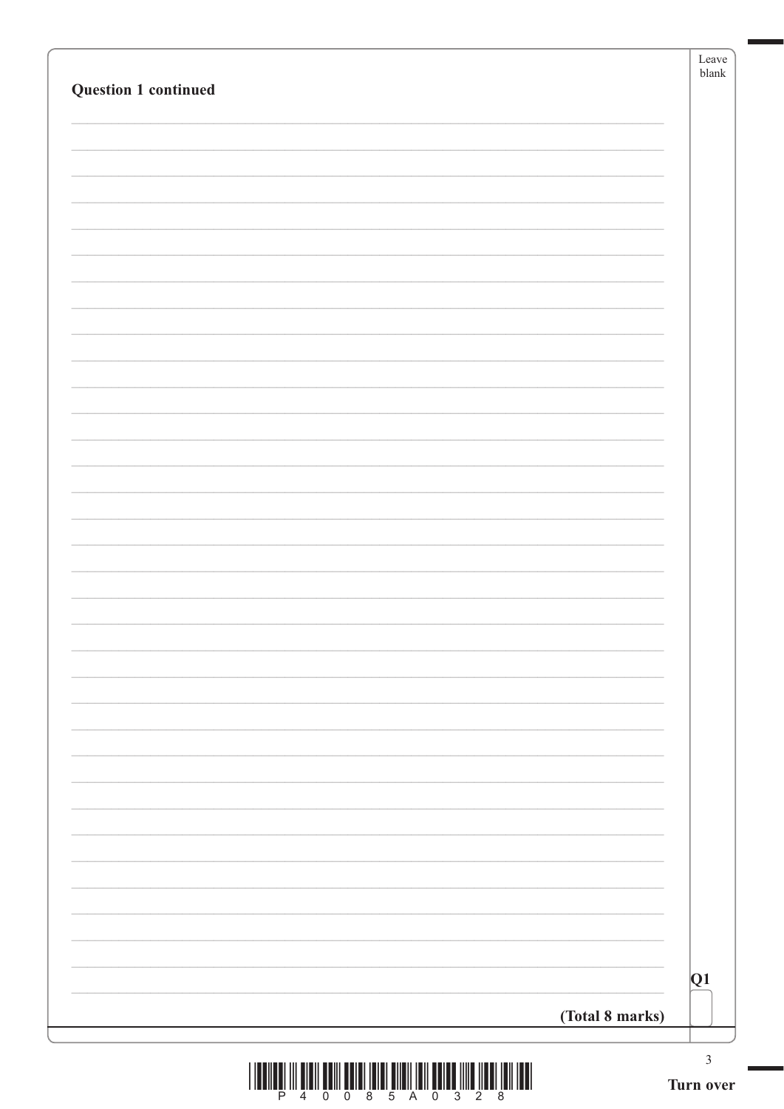| <b>Question 1 continued</b> | Leave<br>blank              |
|-----------------------------|-----------------------------|
|                             |                             |
|                             |                             |
|                             |                             |
|                             |                             |
|                             |                             |
|                             |                             |
|                             |                             |
|                             |                             |
|                             |                             |
|                             |                             |
|                             |                             |
|                             |                             |
|                             |                             |
|                             |                             |
|                             |                             |
|                             |                             |
|                             |                             |
|                             |                             |
|                             |                             |
|                             |                             |
|                             |                             |
|                             |                             |
|                             |                             |
|                             |                             |
|                             | Q1                          |
| (Total 8 marks)             |                             |
|                             | $\mathfrak{Z}$<br>Turn over |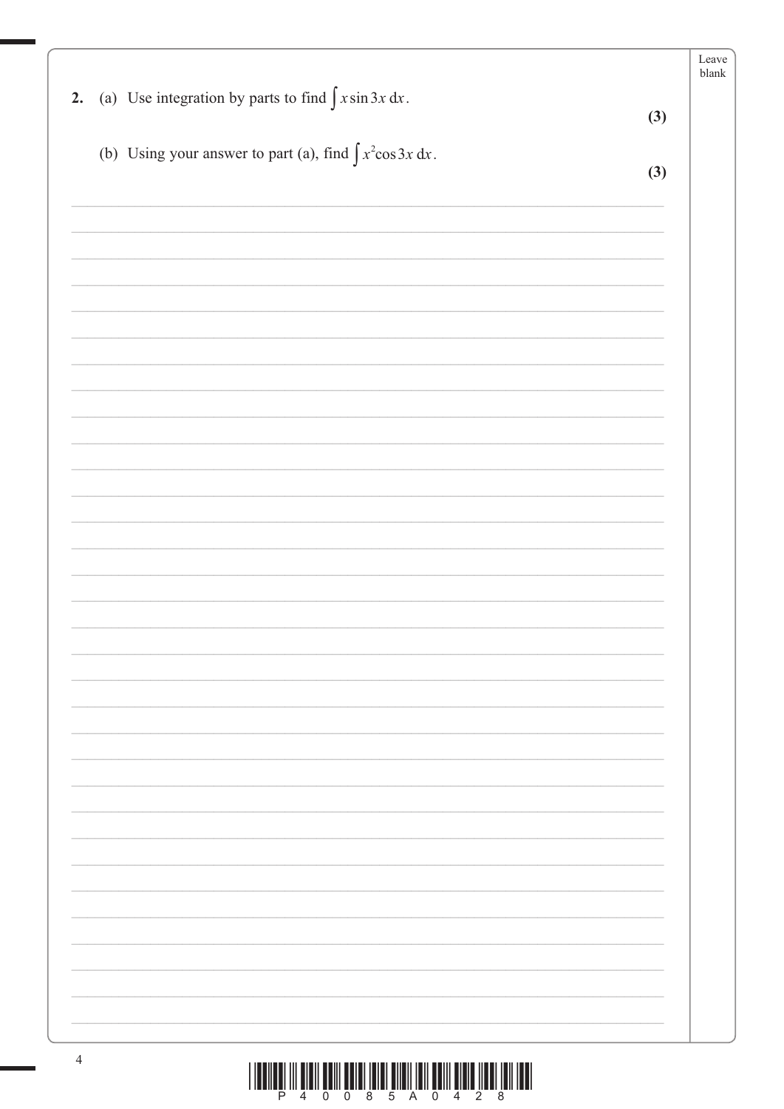|                                                                    |     | Leave<br>blank |
|--------------------------------------------------------------------|-----|----------------|
| 2. (a) Use integration by parts to find $\int x \sin 3x dx$ .      | (3) |                |
| (b) Using your answer to part (a), find $\int x^2 \cos 3x \, dx$ . |     |                |
|                                                                    | (3) |                |
|                                                                    |     |                |
|                                                                    |     |                |
|                                                                    |     |                |
|                                                                    |     |                |
|                                                                    |     |                |
|                                                                    |     |                |
|                                                                    |     |                |
|                                                                    |     |                |
|                                                                    |     |                |
|                                                                    |     |                |
|                                                                    |     |                |
|                                                                    |     |                |
|                                                                    |     |                |
|                                                                    |     |                |
|                                                                    |     |                |
|                                                                    |     |                |
|                                                                    |     |                |
|                                                                    |     |                |
|                                                                    |     |                |
|                                                                    |     |                |
|                                                                    |     |                |
|                                                                    |     |                |
|                                                                    |     |                |
|                                                                    |     |                |
|                                                                    |     |                |
|                                                                    |     |                |
|                                                                    |     |                |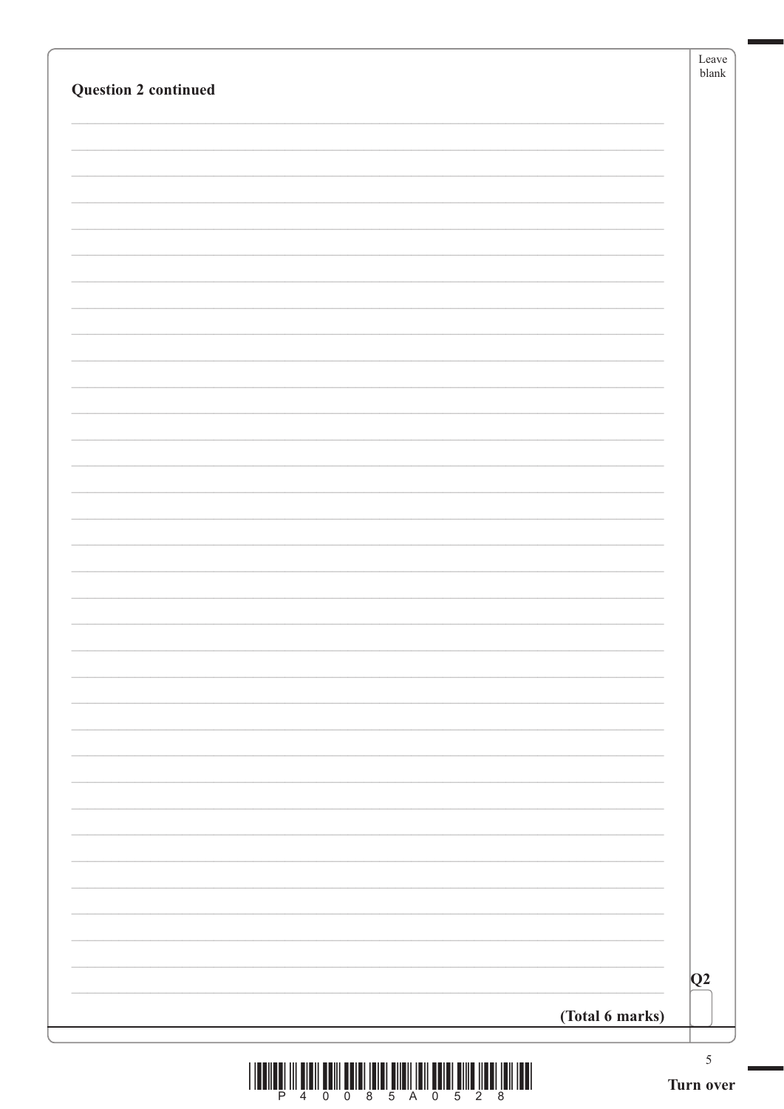|                             | Leave<br>${\tt blank}$ |
|-----------------------------|------------------------|
| <b>Question 2 continued</b> |                        |
|                             |                        |
|                             |                        |
|                             |                        |
|                             |                        |
|                             |                        |
|                             |                        |
|                             |                        |
|                             |                        |
|                             |                        |
|                             |                        |
|                             |                        |
|                             |                        |
|                             |                        |
|                             |                        |
|                             |                        |
|                             |                        |
|                             |                        |
|                             |                        |
|                             |                        |
|                             |                        |
|                             |                        |
|                             |                        |
|                             |                        |
|                             |                        |
|                             |                        |
|                             |                        |
|                             |                        |
|                             |                        |
|                             |                        |
|                             |                        |
|                             |                        |
|                             | Q2                     |
| (Total 6 marks)             |                        |
|                             | $\sqrt{5}$             |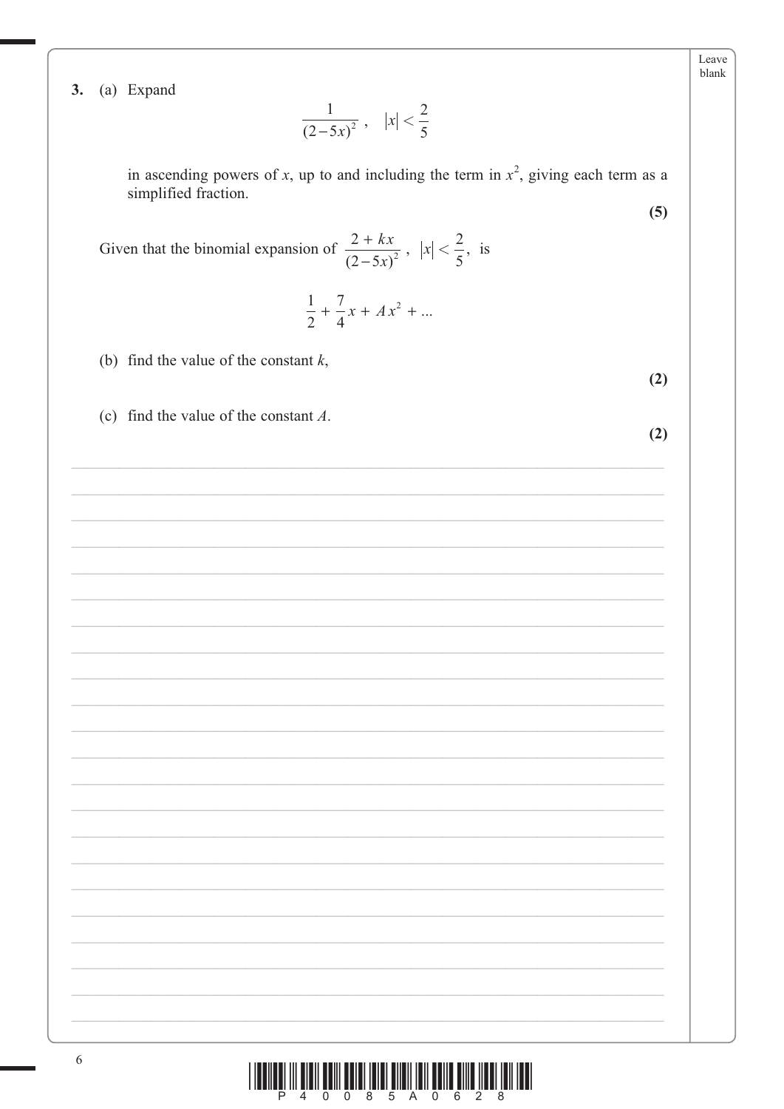Leave blank

 $(5)$ 

 $(2)$ 

 $(2)$ 

3. (a) Expand

$$
\frac{1}{(2-5x)^2}, \quad |x| < \frac{2}{5}
$$

in ascending powers of x, up to and including the term in  $x^2$ , giving each term as a simplified fraction.

Given that the binomial expansion of  $\frac{2 + kx}{(2 - 5x)^2}$ ,  $|x| < \frac{2}{5}$ , is

$$
\frac{1}{2} + \frac{7}{4}x + Ax^2 + \dots
$$

- (b) find the value of the constant  $k$ ,
- (c) find the value of the constant  $A$ .

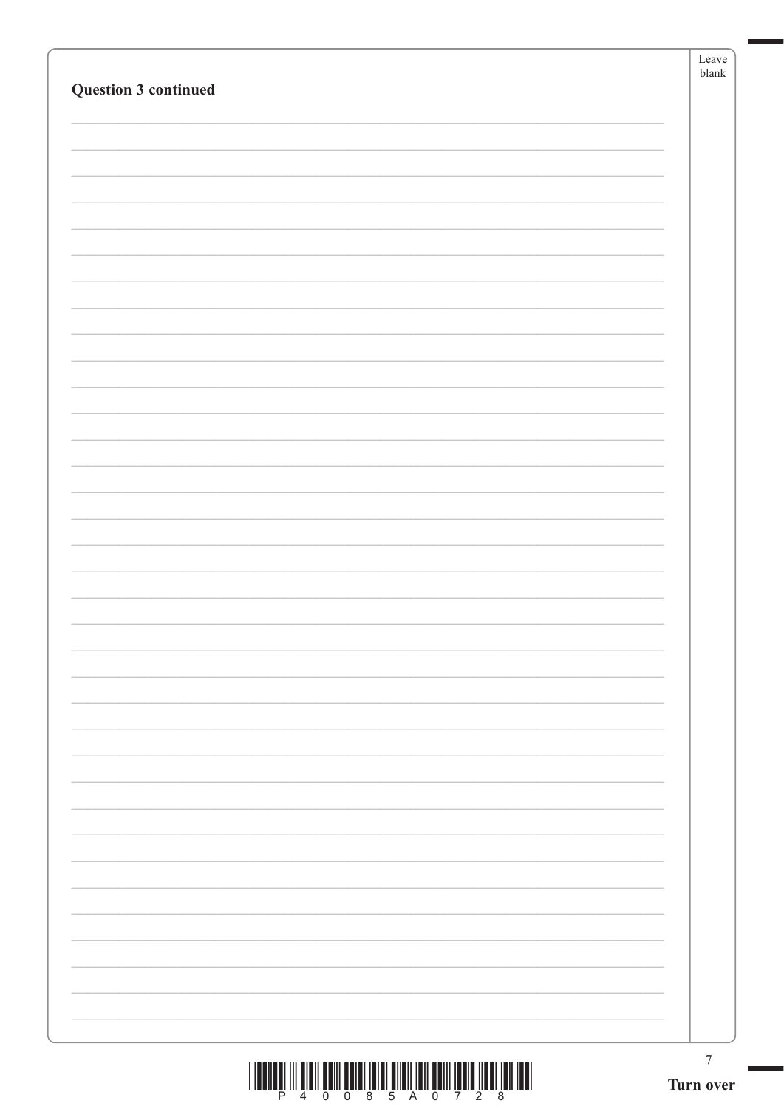| <b>Question 3 continued</b>                                                                                                                                                                                                                                                                                                                                                                                                                                   | Leave<br>$b$ lank             |
|---------------------------------------------------------------------------------------------------------------------------------------------------------------------------------------------------------------------------------------------------------------------------------------------------------------------------------------------------------------------------------------------------------------------------------------------------------------|-------------------------------|
|                                                                                                                                                                                                                                                                                                                                                                                                                                                               |                               |
|                                                                                                                                                                                                                                                                                                                                                                                                                                                               |                               |
|                                                                                                                                                                                                                                                                                                                                                                                                                                                               |                               |
|                                                                                                                                                                                                                                                                                                                                                                                                                                                               |                               |
|                                                                                                                                                                                                                                                                                                                                                                                                                                                               |                               |
|                                                                                                                                                                                                                                                                                                                                                                                                                                                               |                               |
|                                                                                                                                                                                                                                                                                                                                                                                                                                                               |                               |
|                                                                                                                                                                                                                                                                                                                                                                                                                                                               |                               |
|                                                                                                                                                                                                                                                                                                                                                                                                                                                               |                               |
|                                                                                                                                                                                                                                                                                                                                                                                                                                                               |                               |
|                                                                                                                                                                                                                                                                                                                                                                                                                                                               |                               |
| $\begin{array}{c} \text{if} \ \text{if} \ \text{if} \ \text{if} \ \text{if} \ \text{if} \ \text{if} \ \text{if} \ \text{if} \ \text{if} \ \text{if} \ \text{if} \ \text{if} \ \text{if} \ \text{if} \ \text{if} \ \text{if} \ \text{if} \ \text{if} \ \text{if} \ \text{if} \ \text{if} \ \text{if} \ \text{if} \ \text{if} \ \text{if} \ \text{if} \ \text{if} \ \text{if} \ \text{if} \ \text{if} \ \text{if} \ \text{if} \ \text{if} \ \text{if} \ \text{$ | $\boldsymbol{7}$<br>Turn over |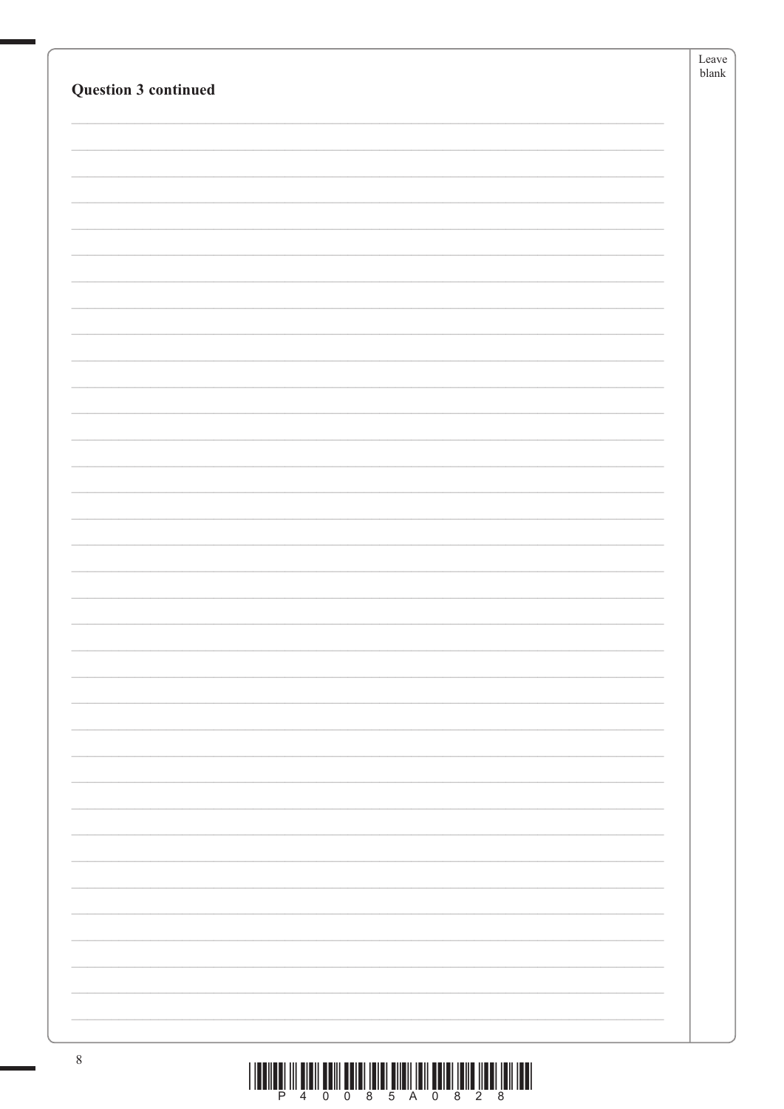|                      | Leave         |
|----------------------|---------------|
|                      | ${\tt blank}$ |
| Question 3 continued |               |
|                      |               |
|                      |               |
|                      |               |
|                      |               |
|                      |               |
|                      |               |
|                      |               |
|                      |               |
|                      |               |
|                      |               |
|                      |               |
|                      |               |
|                      |               |
|                      |               |
|                      |               |
|                      |               |
|                      |               |
|                      |               |
|                      |               |
|                      |               |
|                      |               |
|                      |               |
|                      |               |
|                      |               |
|                      |               |
|                      |               |
|                      |               |
|                      |               |
|                      |               |
|                      |               |
|                      |               |
|                      |               |
|                      |               |
|                      |               |
|                      |               |
|                      |               |
|                      |               |
|                      |               |
|                      |               |
|                      |               |
|                      |               |
|                      |               |
|                      |               |
|                      |               |
|                      |               |
|                      |               |
|                      |               |
| $\,8\,$              |               |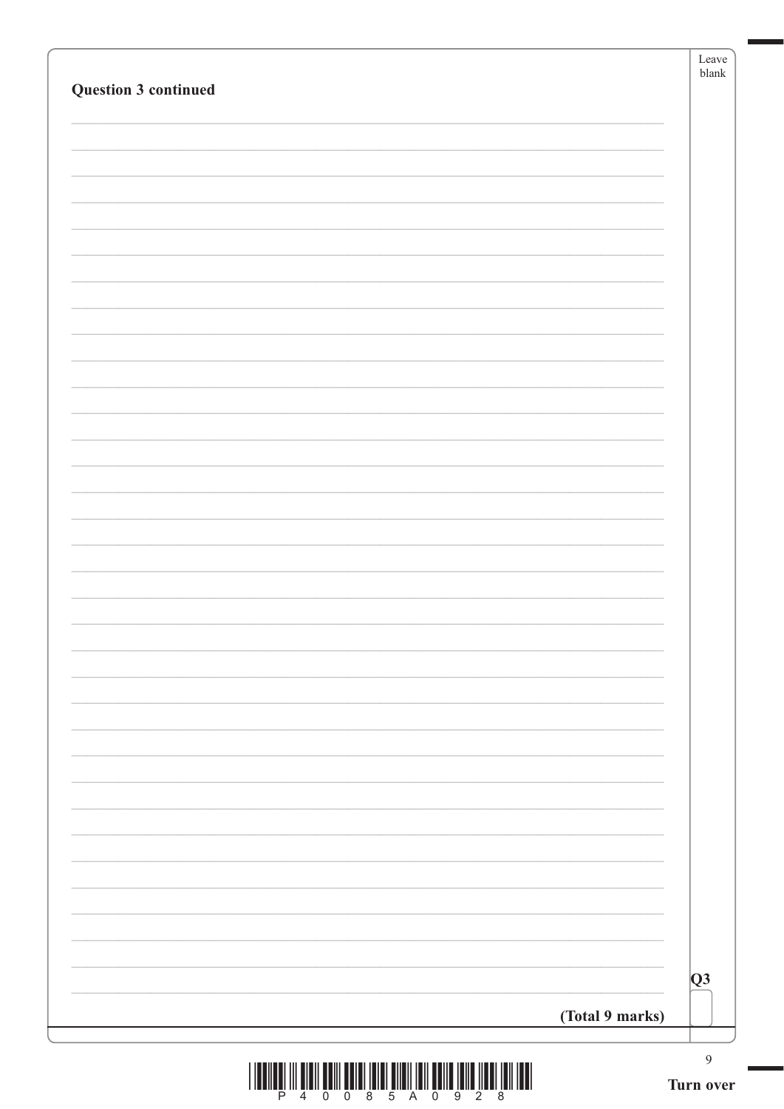|                      | $b$ lank         | Leave |
|----------------------|------------------|-------|
| Question 3 continued |                  |       |
|                      |                  |       |
|                      |                  |       |
|                      |                  |       |
|                      |                  |       |
|                      |                  |       |
|                      |                  |       |
|                      |                  |       |
|                      |                  |       |
|                      |                  |       |
|                      |                  |       |
|                      |                  |       |
|                      |                  |       |
|                      |                  |       |
|                      |                  |       |
|                      |                  |       |
|                      |                  |       |
|                      |                  |       |
|                      |                  |       |
|                      |                  |       |
|                      |                  |       |
|                      |                  |       |
|                      |                  |       |
|                      |                  |       |
|                      |                  |       |
|                      |                  |       |
|                      |                  |       |
|                      |                  |       |
|                      |                  |       |
|                      |                  |       |
|                      |                  |       |
|                      | $\overline{Q}3$  |       |
| (Total 9 marks)      |                  |       |
|                      |                  |       |
|                      | $\boldsymbol{9}$ |       |

٦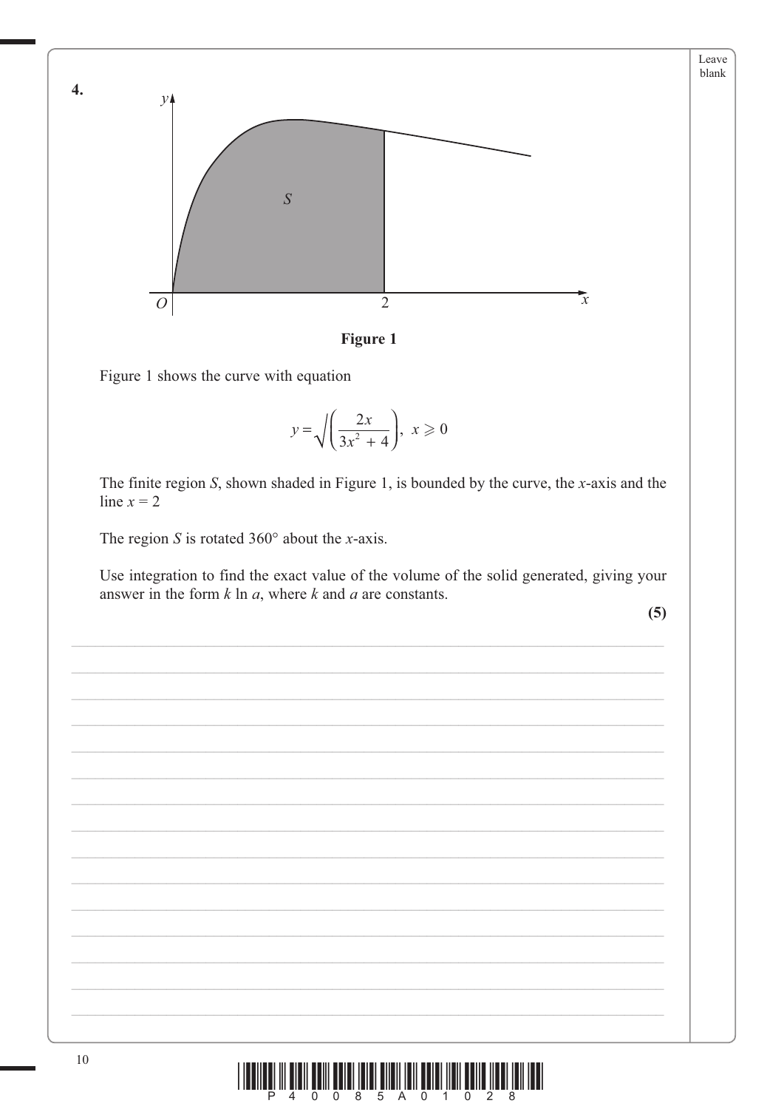



Figure 1 shows the curve with equation

$$
y = \sqrt{\left(\frac{2x}{3x^2 + 4}\right)}, \ x \geqslant 0
$$

The finite region  $S$ , shown shaded in Figure 1, is bounded by the curve, the  $x$ -axis and the line  $x = 2$ 

The region S is rotated  $360^\circ$  about the x-axis.

Use integration to find the exact value of the volume of the solid generated, giving your answer in the form  $k \ln a$ , where  $k$  and  $a$  are constants.

 $(5)$ 

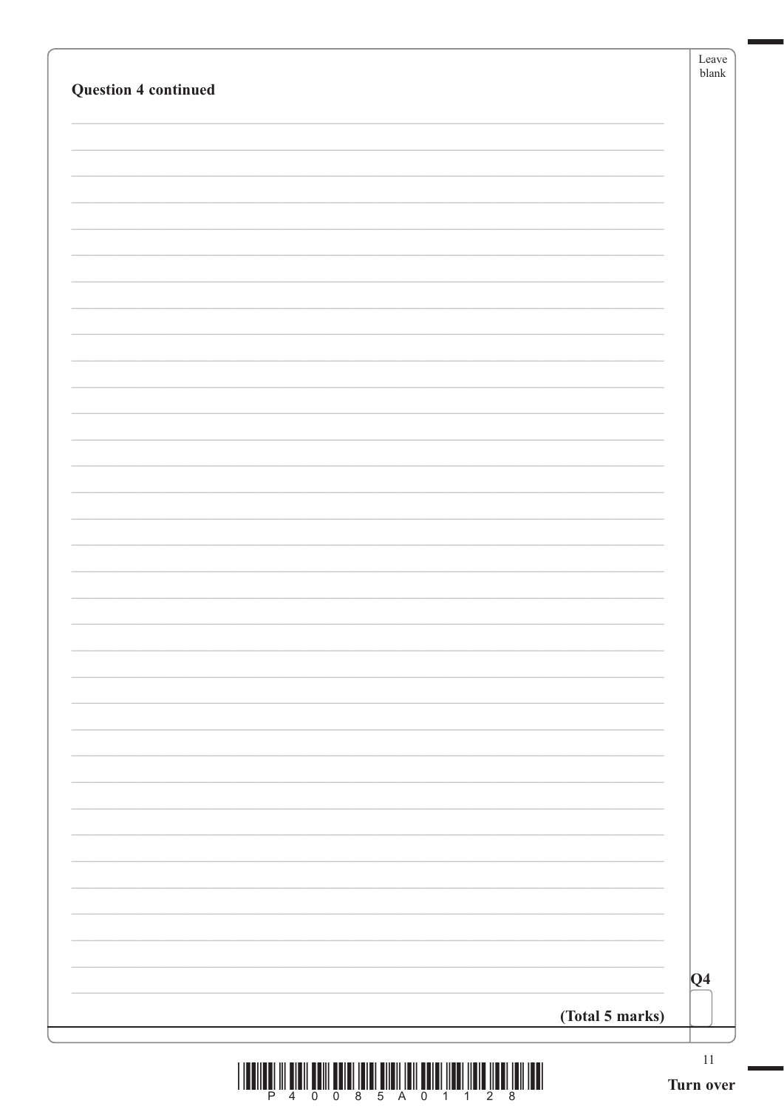| <b>Question 4 continued</b> | Leave<br>${\tt blank}$ |
|-----------------------------|------------------------|
|                             |                        |
|                             |                        |
|                             |                        |
|                             |                        |
|                             |                        |
|                             |                        |
|                             |                        |
|                             |                        |
|                             |                        |
|                             |                        |
|                             |                        |
|                             |                        |
|                             |                        |
|                             |                        |
|                             |                        |
|                             |                        |
|                             |                        |
|                             |                        |
|                             |                        |
|                             |                        |
|                             |                        |
|                             |                        |
|                             |                        |
|                             |                        |
|                             |                        |
|                             |                        |
|                             |                        |
|                             |                        |
|                             |                        |
|                             | $\overline{Q4}$        |
| (Total 5 marks)             |                        |
|                             | $11\,$                 |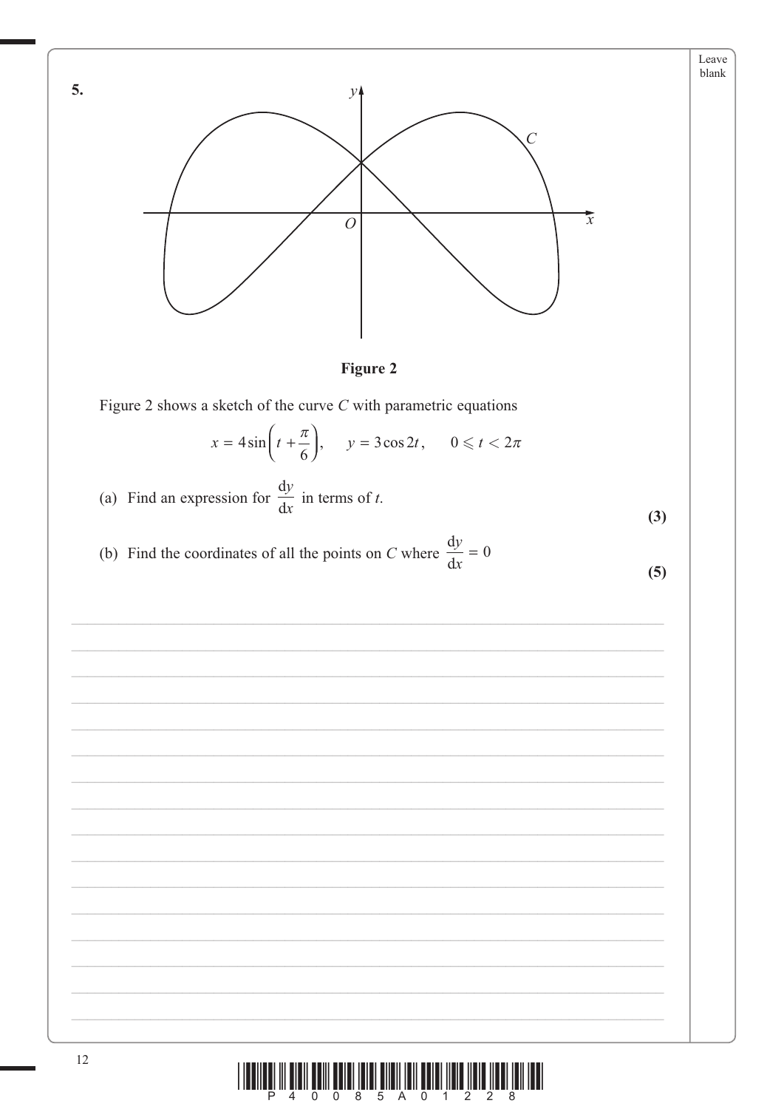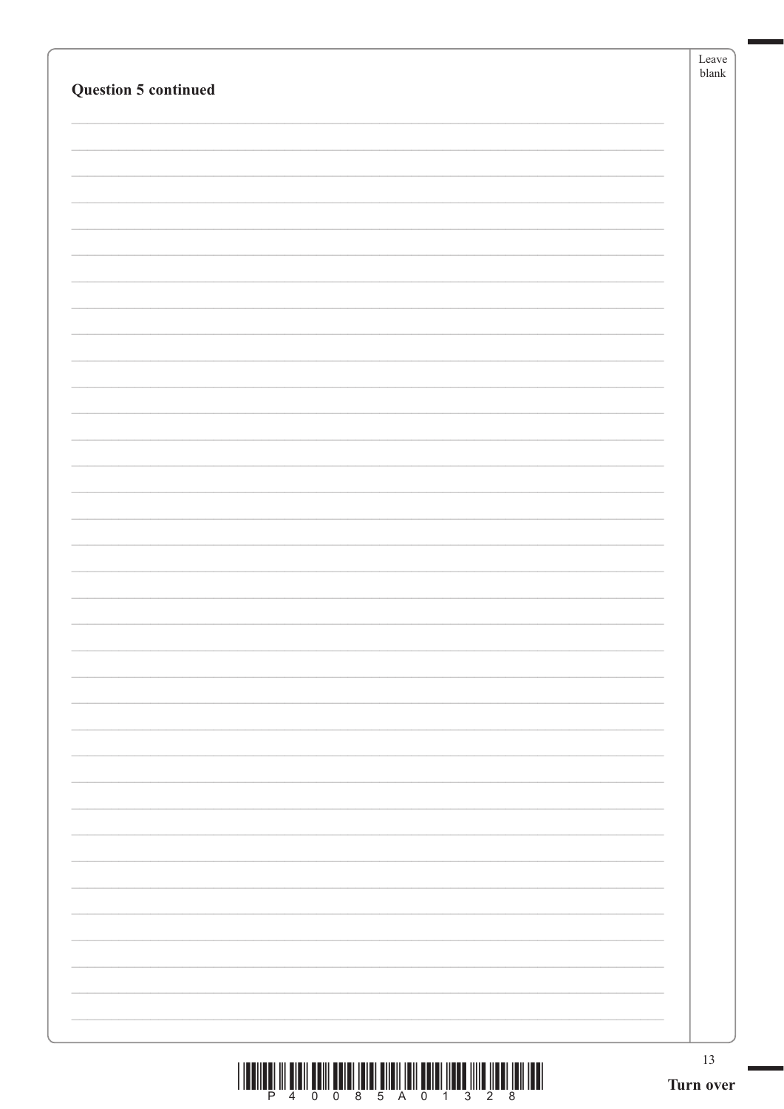| <b>Question 5 continued</b>                                                                                                                                                                                                                                                                                                                                                                                                                                   | Leave<br>${\tt blank}$ |
|---------------------------------------------------------------------------------------------------------------------------------------------------------------------------------------------------------------------------------------------------------------------------------------------------------------------------------------------------------------------------------------------------------------------------------------------------------------|------------------------|
|                                                                                                                                                                                                                                                                                                                                                                                                                                                               |                        |
|                                                                                                                                                                                                                                                                                                                                                                                                                                                               |                        |
|                                                                                                                                                                                                                                                                                                                                                                                                                                                               |                        |
|                                                                                                                                                                                                                                                                                                                                                                                                                                                               |                        |
|                                                                                                                                                                                                                                                                                                                                                                                                                                                               |                        |
|                                                                                                                                                                                                                                                                                                                                                                                                                                                               |                        |
|                                                                                                                                                                                                                                                                                                                                                                                                                                                               |                        |
|                                                                                                                                                                                                                                                                                                                                                                                                                                                               |                        |
|                                                                                                                                                                                                                                                                                                                                                                                                                                                               |                        |
|                                                                                                                                                                                                                                                                                                                                                                                                                                                               |                        |
|                                                                                                                                                                                                                                                                                                                                                                                                                                                               |                        |
| $\begin{array}{c} \text{if} \ \text{if} \ \text{if} \ \text{if} \ \text{if} \ \text{if} \ \text{if} \ \text{if} \ \text{if} \ \text{if} \ \text{if} \ \text{if} \ \text{if} \ \text{if} \ \text{if} \ \text{if} \ \text{if} \ \text{if} \ \text{if} \ \text{if} \ \text{if} \ \text{if} \ \text{if} \ \text{if} \ \text{if} \ \text{if} \ \text{if} \ \text{if} \ \text{if} \ \text{if} \ \text{if} \ \text{if} \ \text{if} \ \text{if} \ \text{if} \ \text{$ | $13\,$<br>Turn over    |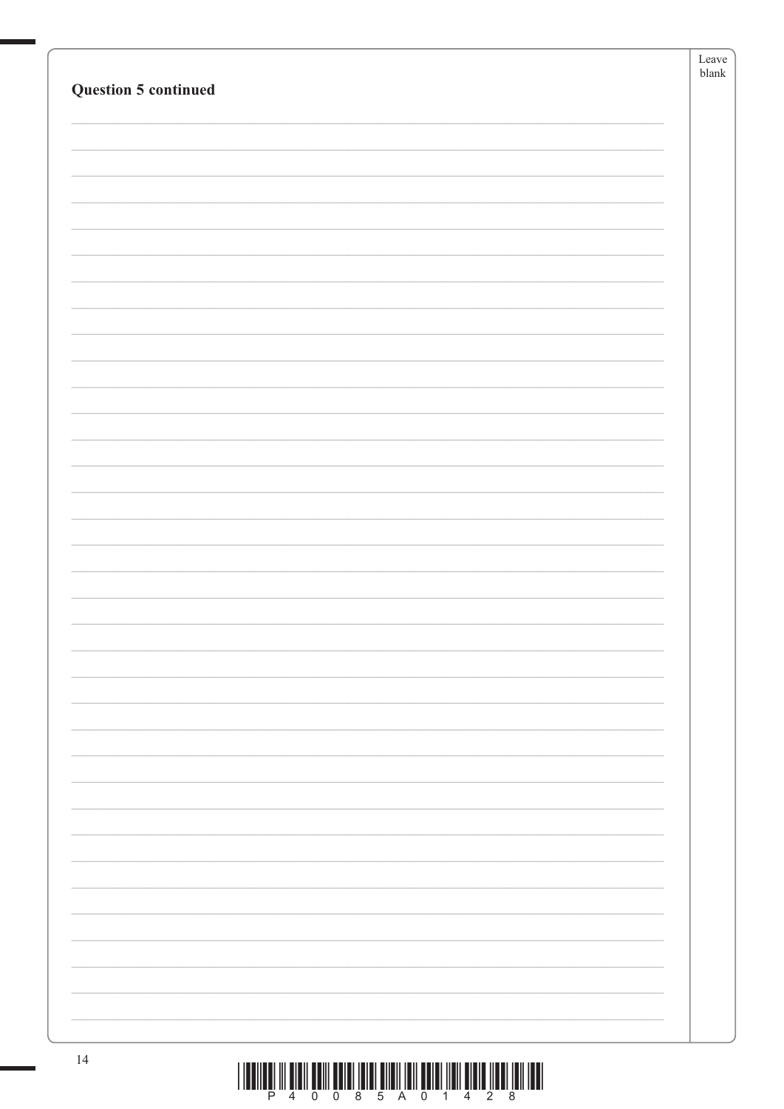|                             | Leave<br>${\tt blank}$ |
|-----------------------------|------------------------|
| <b>Question 5 continued</b> |                        |
|                             |                        |
|                             |                        |
|                             |                        |
|                             |                        |
|                             |                        |
|                             |                        |
|                             |                        |
|                             |                        |
|                             |                        |
|                             |                        |
|                             |                        |
|                             |                        |
|                             |                        |
|                             |                        |
|                             |                        |
|                             |                        |
|                             |                        |
|                             |                        |
|                             |                        |
|                             |                        |
|                             |                        |
|                             |                        |
|                             |                        |
|                             |                        |
|                             |                        |
|                             |                        |
|                             |                        |
|                             |                        |
|                             |                        |
|                             |                        |
|                             |                        |
| 14                          |                        |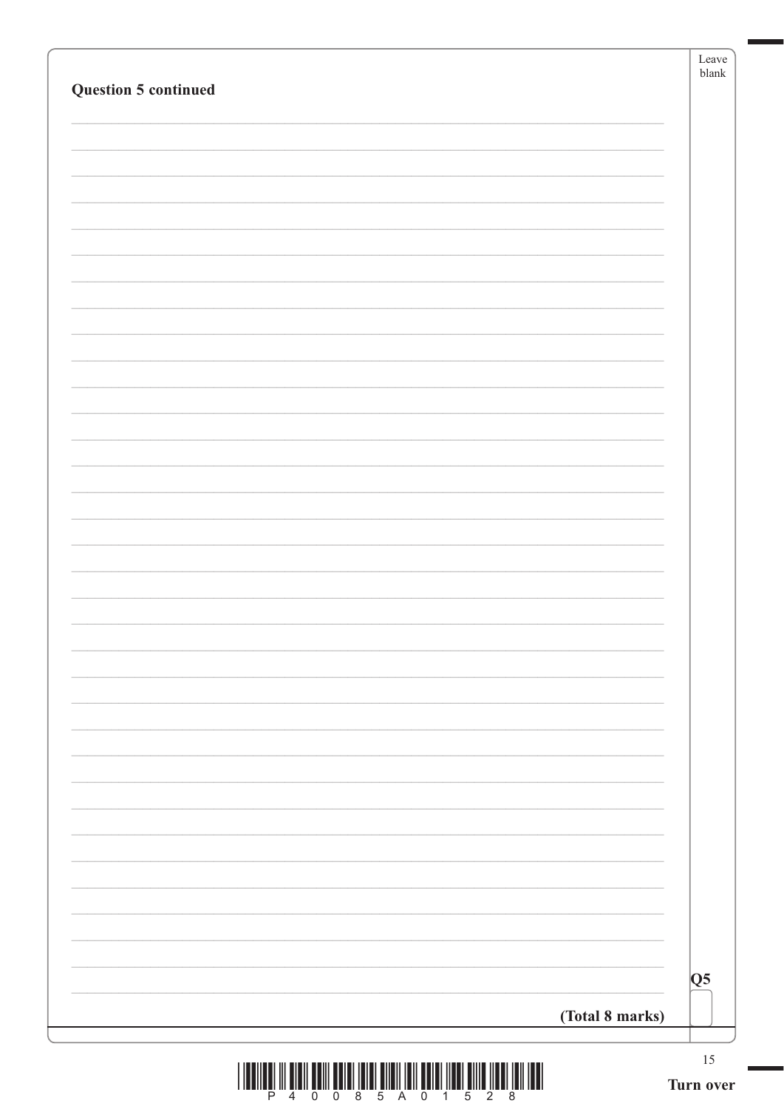| <b>Question 5 continued</b> |                        |
|-----------------------------|------------------------|
|                             |                        |
|                             |                        |
|                             |                        |
|                             |                        |
|                             |                        |
|                             |                        |
|                             |                        |
|                             |                        |
|                             |                        |
|                             |                        |
|                             |                        |
|                             |                        |
|                             |                        |
|                             |                        |
|                             |                        |
|                             |                        |
|                             |                        |
|                             |                        |
|                             |                        |
|                             |                        |
|                             |                        |
|                             |                        |
|                             |                        |
|                             |                        |
|                             |                        |
|                             |                        |
|                             |                        |
|                             |                        |
|                             |                        |
|                             |                        |
|                             |                        |
|                             |                        |
|                             |                        |
|                             | $\overline{\text{Q5}}$ |
| (Total 8 marks)             |                        |
|                             |                        |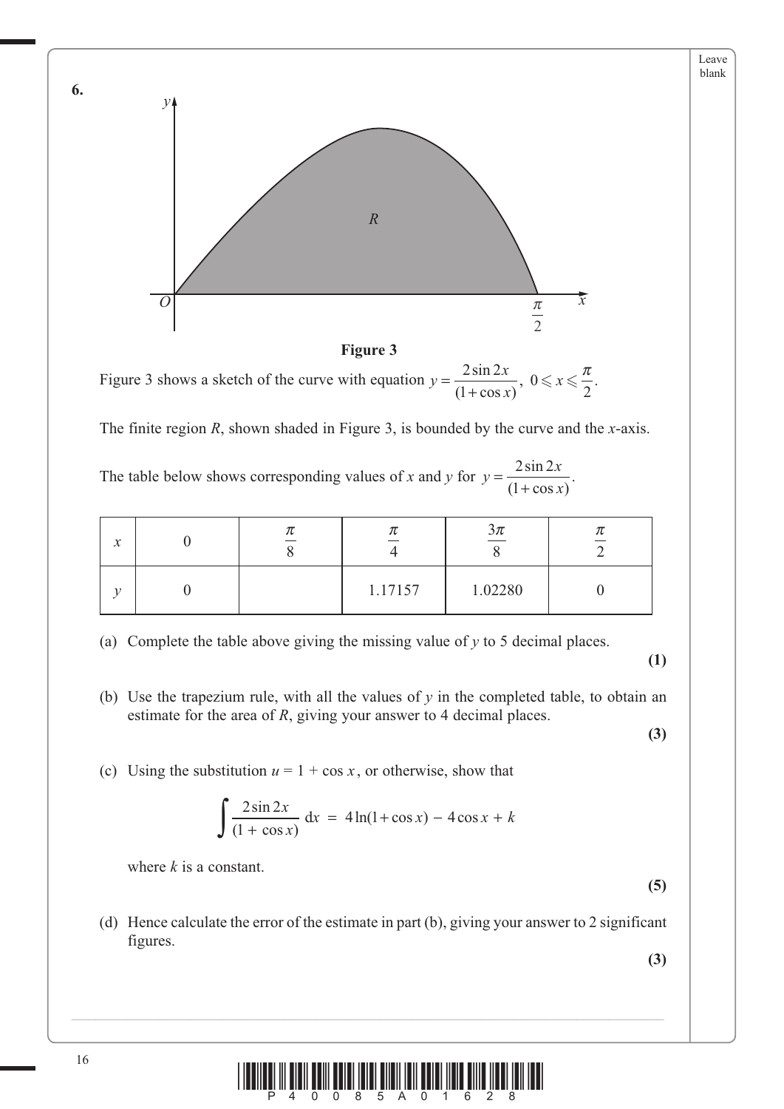

**Figure 3**

Figure 3 shows a sketch of the curve with equation  $y = \frac{2\sin 2x}{(1 + \cos x)}$ ,  $0 \le x$  $2 \sin 2$  $\left( \frac{1}{2} \right)$ 0 2  $\frac{2\sin 2x}{(1+\cos x)}, 0 \leqslant x \leqslant \frac{\pi}{2}.$ 

The finite region *R*, shown shaded in Figure 3, is bounded by the curve and the *x*-axis.

The table below shows corresponding values of *x* and *y* for  $y = \frac{2\sin 2x}{x}$  $=\frac{2\sin 2x}{(1+\cos x)}$  $\left( \frac{1}{2} \right)$  $\frac{2\sin 2x}{(1+\cos x)}$ .

| $\mathcal{L}$<br>$\lambda$ |  |         | $3\pi$  |  |
|----------------------------|--|---------|---------|--|
|                            |  | 1.17157 | 1.02280 |  |

(a) Complete the table above giving the missing value of *y* to 5 decimal places.

 **(1)**

**(3)**

Leave blank

- (b) Use the trapezium rule, with all the values of *y* in the completed table, to obtain an estimate for the area of *R*, giving your answer to 4 decimal places.
- (c) Using the substitution  $u = 1 + \cos x$ , or otherwise, show that

$$
\int \frac{2\sin 2x}{(1 + \cos x)} dx = 4\ln(1 + \cos x) - 4\cos x + k
$$

where *k* is a constant.

 (d) Hence calculate the error of the estimate in part (b), giving your answer to 2 significant figures.

**(3)**

**(5)**



**6.**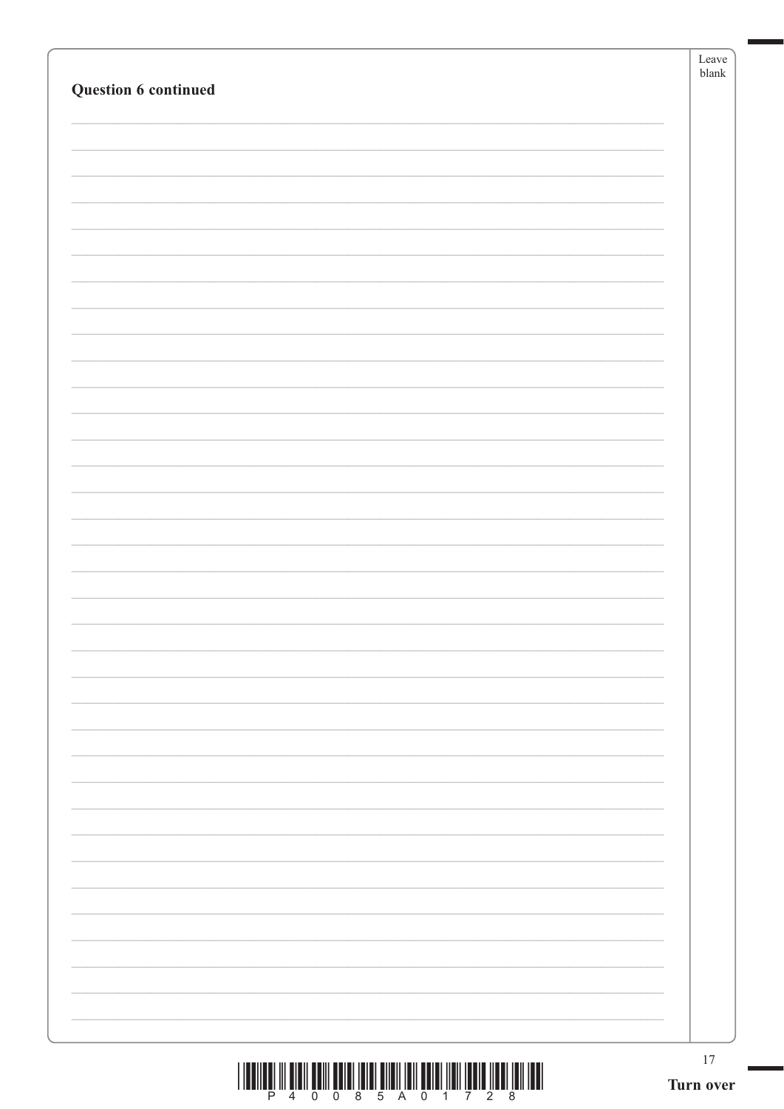| Question 6 continued                                                                                                                                                                                                                                                                                                                                                                                                                                          | Leave<br>blank  |
|---------------------------------------------------------------------------------------------------------------------------------------------------------------------------------------------------------------------------------------------------------------------------------------------------------------------------------------------------------------------------------------------------------------------------------------------------------------|-----------------|
|                                                                                                                                                                                                                                                                                                                                                                                                                                                               |                 |
|                                                                                                                                                                                                                                                                                                                                                                                                                                                               |                 |
|                                                                                                                                                                                                                                                                                                                                                                                                                                                               |                 |
|                                                                                                                                                                                                                                                                                                                                                                                                                                                               |                 |
|                                                                                                                                                                                                                                                                                                                                                                                                                                                               |                 |
|                                                                                                                                                                                                                                                                                                                                                                                                                                                               |                 |
|                                                                                                                                                                                                                                                                                                                                                                                                                                                               |                 |
|                                                                                                                                                                                                                                                                                                                                                                                                                                                               |                 |
|                                                                                                                                                                                                                                                                                                                                                                                                                                                               |                 |
|                                                                                                                                                                                                                                                                                                                                                                                                                                                               |                 |
|                                                                                                                                                                                                                                                                                                                                                                                                                                                               |                 |
|                                                                                                                                                                                                                                                                                                                                                                                                                                                               |                 |
|                                                                                                                                                                                                                                                                                                                                                                                                                                                               |                 |
|                                                                                                                                                                                                                                                                                                                                                                                                                                                               |                 |
|                                                                                                                                                                                                                                                                                                                                                                                                                                                               |                 |
|                                                                                                                                                                                                                                                                                                                                                                                                                                                               |                 |
|                                                                                                                                                                                                                                                                                                                                                                                                                                                               |                 |
|                                                                                                                                                                                                                                                                                                                                                                                                                                                               |                 |
|                                                                                                                                                                                                                                                                                                                                                                                                                                                               |                 |
|                                                                                                                                                                                                                                                                                                                                                                                                                                                               |                 |
|                                                                                                                                                                                                                                                                                                                                                                                                                                                               |                 |
|                                                                                                                                                                                                                                                                                                                                                                                                                                                               |                 |
|                                                                                                                                                                                                                                                                                                                                                                                                                                                               |                 |
|                                                                                                                                                                                                                                                                                                                                                                                                                                                               |                 |
|                                                                                                                                                                                                                                                                                                                                                                                                                                                               |                 |
|                                                                                                                                                                                                                                                                                                                                                                                                                                                               |                 |
|                                                                                                                                                                                                                                                                                                                                                                                                                                                               |                 |
|                                                                                                                                                                                                                                                                                                                                                                                                                                                               |                 |
| $\begin{array}{c} \text{if} \ \text{if} \ \text{if} \ \text{if} \ \text{if} \ \text{if} \ \text{if} \ \text{if} \ \text{if} \ \text{if} \ \text{if} \ \text{if} \ \text{if} \ \text{if} \ \text{if} \ \text{if} \ \text{if} \ \text{if} \ \text{if} \ \text{if} \ \text{if} \ \text{if} \ \text{if} \ \text{if} \ \text{if} \ \text{if} \ \text{if} \ \text{if} \ \text{if} \ \text{if} \ \text{if} \ \text{if} \ \text{if} \ \text{if} \ \text{if} \ \text{$ | 17<br>Turn over |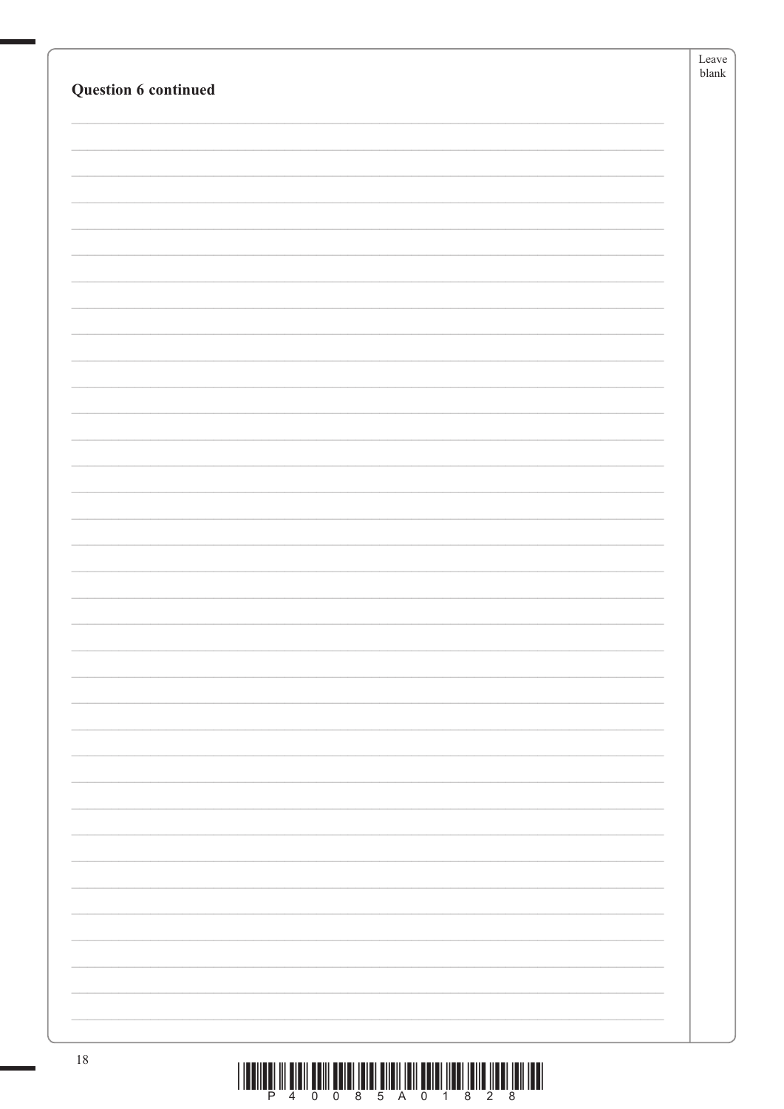|                                                                                                                            | ${\it Leave}$ |
|----------------------------------------------------------------------------------------------------------------------------|---------------|
| Question 6 continued                                                                                                       | ${\tt blank}$ |
|                                                                                                                            |               |
|                                                                                                                            |               |
|                                                                                                                            |               |
|                                                                                                                            |               |
|                                                                                                                            |               |
|                                                                                                                            |               |
|                                                                                                                            |               |
|                                                                                                                            |               |
|                                                                                                                            |               |
|                                                                                                                            |               |
|                                                                                                                            |               |
|                                                                                                                            |               |
|                                                                                                                            |               |
|                                                                                                                            |               |
|                                                                                                                            |               |
|                                                                                                                            |               |
|                                                                                                                            |               |
|                                                                                                                            |               |
|                                                                                                                            |               |
|                                                                                                                            |               |
|                                                                                                                            |               |
|                                                                                                                            |               |
|                                                                                                                            |               |
|                                                                                                                            |               |
|                                                                                                                            |               |
|                                                                                                                            |               |
|                                                                                                                            |               |
|                                                                                                                            |               |
|                                                                                                                            |               |
|                                                                                                                            |               |
|                                                                                                                            |               |
|                                                                                                                            |               |
|                                                                                                                            |               |
|                                                                                                                            |               |
|                                                                                                                            |               |
|                                                                                                                            |               |
|                                                                                                                            |               |
|                                                                                                                            |               |
|                                                                                                                            |               |
|                                                                                                                            |               |
|                                                                                                                            |               |
|                                                                                                                            |               |
| 18<br><u>. Concertaint is actually actually activities and actually contracted in the concertation of the concertation</u> |               |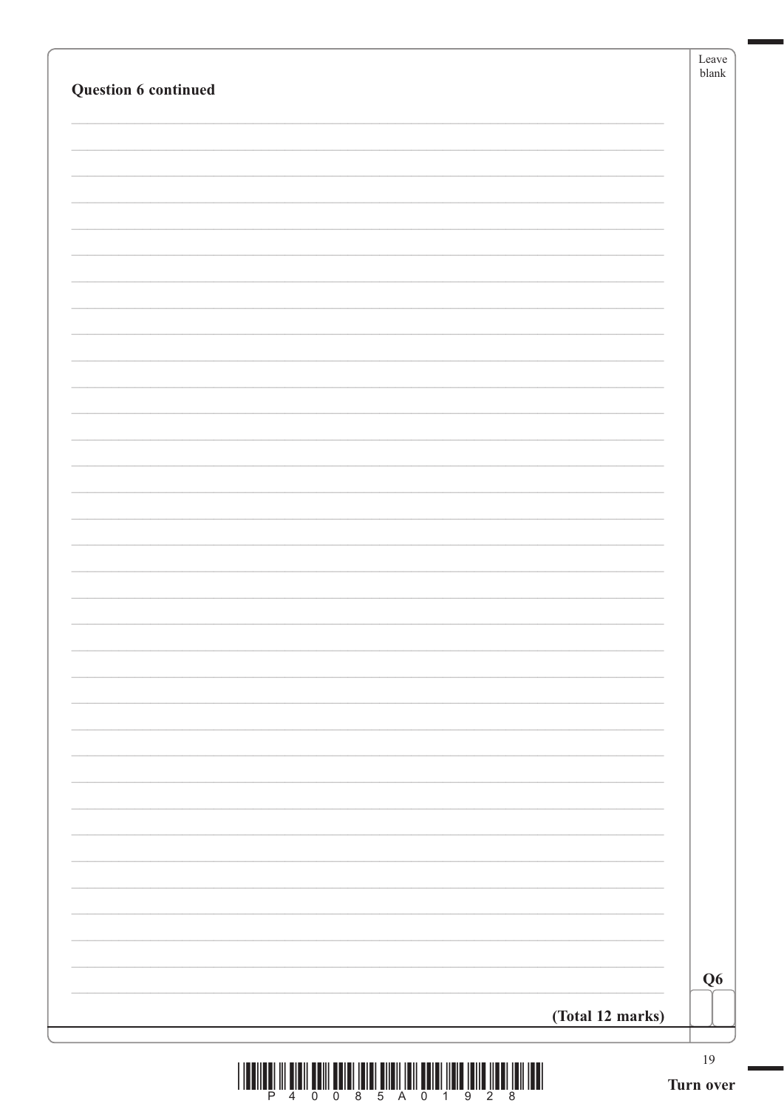| Question 6 continued |                  | Leave<br>${\sf blank}$ |
|----------------------|------------------|------------------------|
|                      |                  |                        |
|                      |                  |                        |
|                      |                  |                        |
|                      |                  |                        |
|                      |                  |                        |
|                      |                  |                        |
|                      |                  |                        |
|                      |                  |                        |
|                      |                  |                        |
|                      |                  |                        |
|                      |                  |                        |
|                      |                  |                        |
|                      |                  |                        |
|                      |                  |                        |
|                      |                  |                        |
|                      |                  |                        |
|                      |                  |                        |
|                      |                  |                        |
|                      |                  |                        |
|                      |                  |                        |
|                      |                  |                        |
|                      |                  |                        |
|                      |                  |                        |
|                      |                  |                        |
|                      |                  |                        |
|                      |                  |                        |
|                      |                  |                        |
|                      |                  |                        |
|                      |                  |                        |
|                      |                  |                        |
|                      |                  |                        |
|                      |                  | Q <sub>6</sub>         |
|                      | (Total 12 marks) |                        |
|                      |                  |                        |
|                      |                  | $19\,$                 |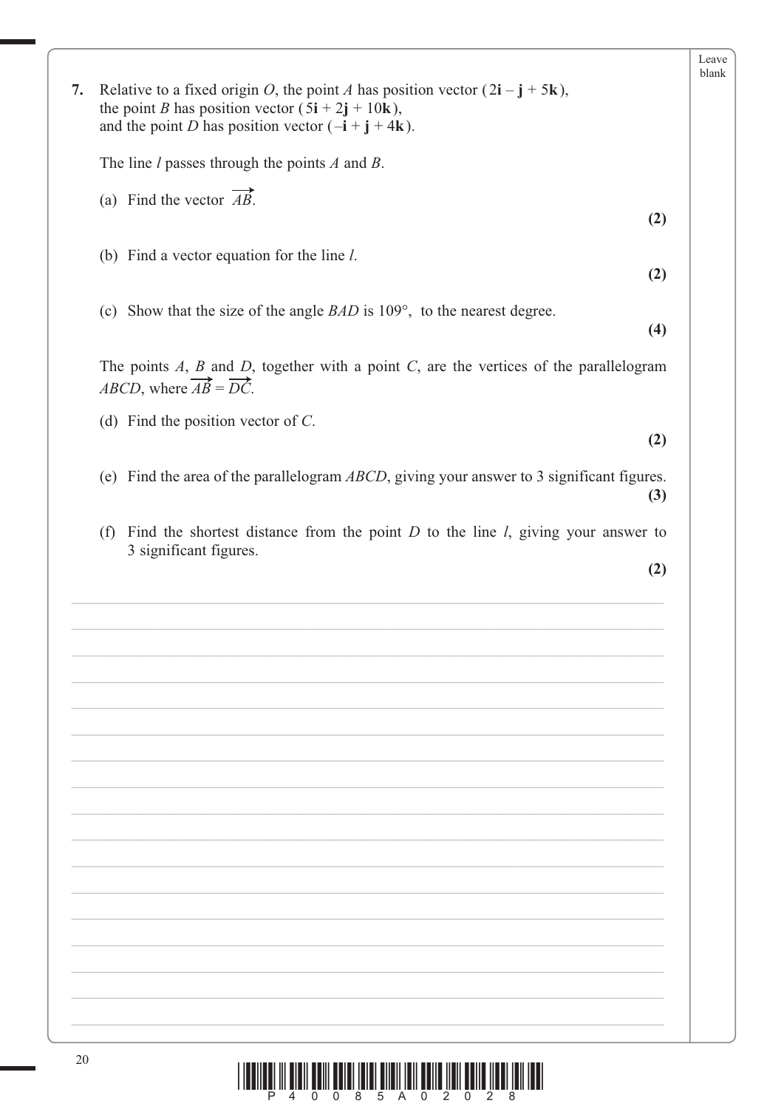|    |                                                                                                                                                                                                                                                                     | Leave |
|----|---------------------------------------------------------------------------------------------------------------------------------------------------------------------------------------------------------------------------------------------------------------------|-------|
| 7. | Relative to a fixed origin O, the point A has position vector $(2\mathbf{i} - \mathbf{j} + 5\mathbf{k})$ ,<br>the point <i>B</i> has position vector $(5\mathbf{i} + 2\mathbf{j} + 10\mathbf{k})$ ,<br>and the point <i>D</i> has position vector $(-i + j + 4k)$ . |       |
|    | The line $l$ passes through the points $A$ and $B$ .                                                                                                                                                                                                                |       |
|    | (a) Find the vector $\overrightarrow{AB}$ .<br>(2)                                                                                                                                                                                                                  |       |
|    | (b) Find a vector equation for the line $l$ .<br>(2)                                                                                                                                                                                                                |       |
|    | (c) Show that the size of the angle $BAD$ is $109^{\circ}$ , to the nearest degree.<br>(4)                                                                                                                                                                          |       |
|    | The points $A$ , $B$ and $D$ , together with a point $C$ , are the vertices of the parallelogram<br><i>ABCD</i> , where $\overrightarrow{AB} = \overrightarrow{DC}$ .                                                                                               |       |
|    | (d) Find the position vector of $C$ .<br>(2)                                                                                                                                                                                                                        |       |
|    | (e) Find the area of the parallelogram $ABCD$ , giving your answer to 3 significant figures.<br>(3)                                                                                                                                                                 |       |
|    | (f) Find the shortest distance from the point $D$ to the line $l$ , giving your answer to<br>3 significant figures.                                                                                                                                                 |       |
|    | (2)                                                                                                                                                                                                                                                                 |       |
|    |                                                                                                                                                                                                                                                                     |       |
|    |                                                                                                                                                                                                                                                                     |       |
|    |                                                                                                                                                                                                                                                                     |       |
|    |                                                                                                                                                                                                                                                                     |       |
|    |                                                                                                                                                                                                                                                                     |       |
|    |                                                                                                                                                                                                                                                                     |       |
|    |                                                                                                                                                                                                                                                                     |       |
|    |                                                                                                                                                                                                                                                                     |       |
|    |                                                                                                                                                                                                                                                                     |       |
|    |                                                                                                                                                                                                                                                                     |       |
|    |                                                                                                                                                                                                                                                                     |       |
|    |                                                                                                                                                                                                                                                                     |       |
| 20 |                                                                                                                                                                                                                                                                     |       |
|    |                                                                                                                                                                                                                                                                     |       |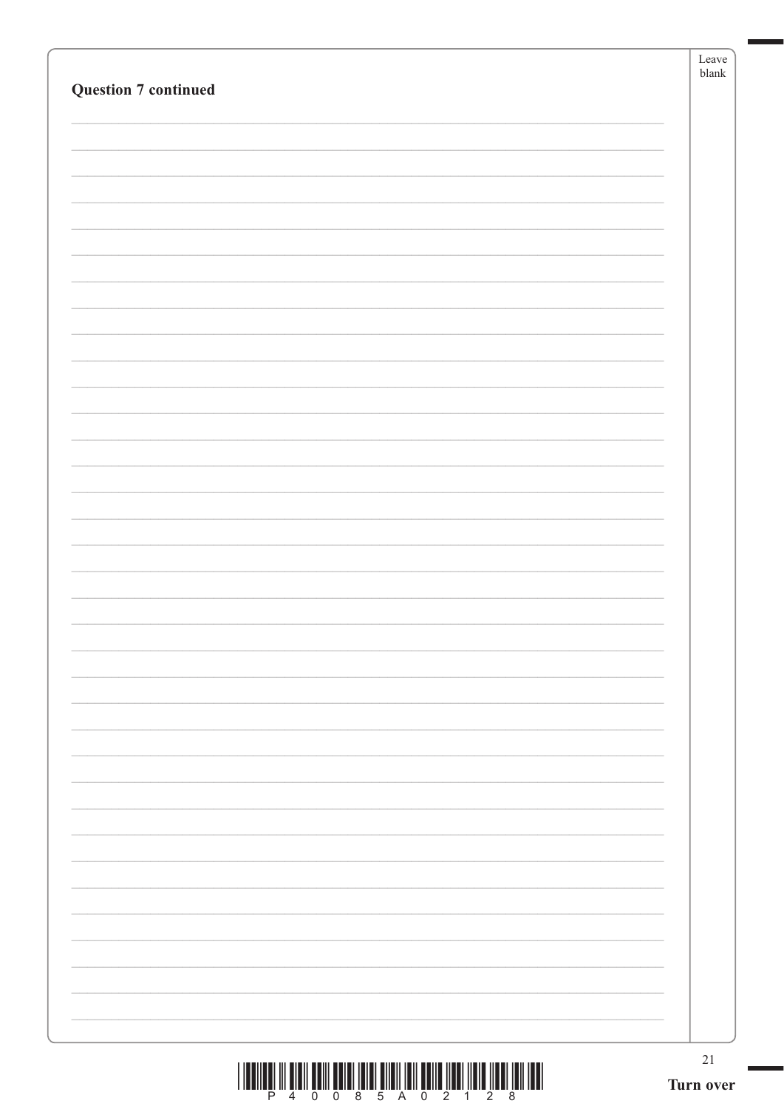|                                                                                                | Leave<br>$b$ lank |
|------------------------------------------------------------------------------------------------|-------------------|
| <b>Question 7 continued</b>                                                                    |                   |
|                                                                                                |                   |
|                                                                                                |                   |
|                                                                                                |                   |
|                                                                                                |                   |
|                                                                                                |                   |
|                                                                                                |                   |
|                                                                                                |                   |
|                                                                                                |                   |
|                                                                                                |                   |
|                                                                                                |                   |
|                                                                                                |                   |
|                                                                                                |                   |
|                                                                                                |                   |
|                                                                                                |                   |
|                                                                                                |                   |
|                                                                                                |                   |
|                                                                                                |                   |
|                                                                                                |                   |
|                                                                                                |                   |
|                                                                                                |                   |
|                                                                                                |                   |
|                                                                                                |                   |
|                                                                                                |                   |
|                                                                                                |                   |
|                                                                                                |                   |
|                                                                                                |                   |
|                                                                                                |                   |
|                                                                                                |                   |
|                                                                                                |                   |
|                                                                                                |                   |
|                                                                                                |                   |
|                                                                                                |                   |
|                                                                                                |                   |
|                                                                                                |                   |
|                                                                                                |                   |
|                                                                                                |                   |
|                                                                                                |                   |
|                                                                                                |                   |
| <u> I dengan ili bibil bolli bolgi ibibi bildi ibil bollo ildi. Ildib ildil ibil ibil ibil</u> | $21\,$            |

 $\frac{1}{2}$   $\frac{1}{2}$   $\frac{1}{2}$   $\frac{1}{4}$   $\frac{1}{6}$   $\frac{1}{2}$   $\frac{1}{10}$   $\frac{1}{2}$   $\frac{1}{10}$   $\frac{1}{2}$   $\frac{1}{2}$   $\frac{1}{10}$   $\frac{1}{2}$   $\frac{1}{2}$   $\frac{1}{8}$   $\frac{1}{10}$   $\frac{1}{2}$   $\frac{1}{8}$   $\frac{1}{10}$   $\frac{1}{2}$   $\frac{1}{8}$   $\frac{1}{$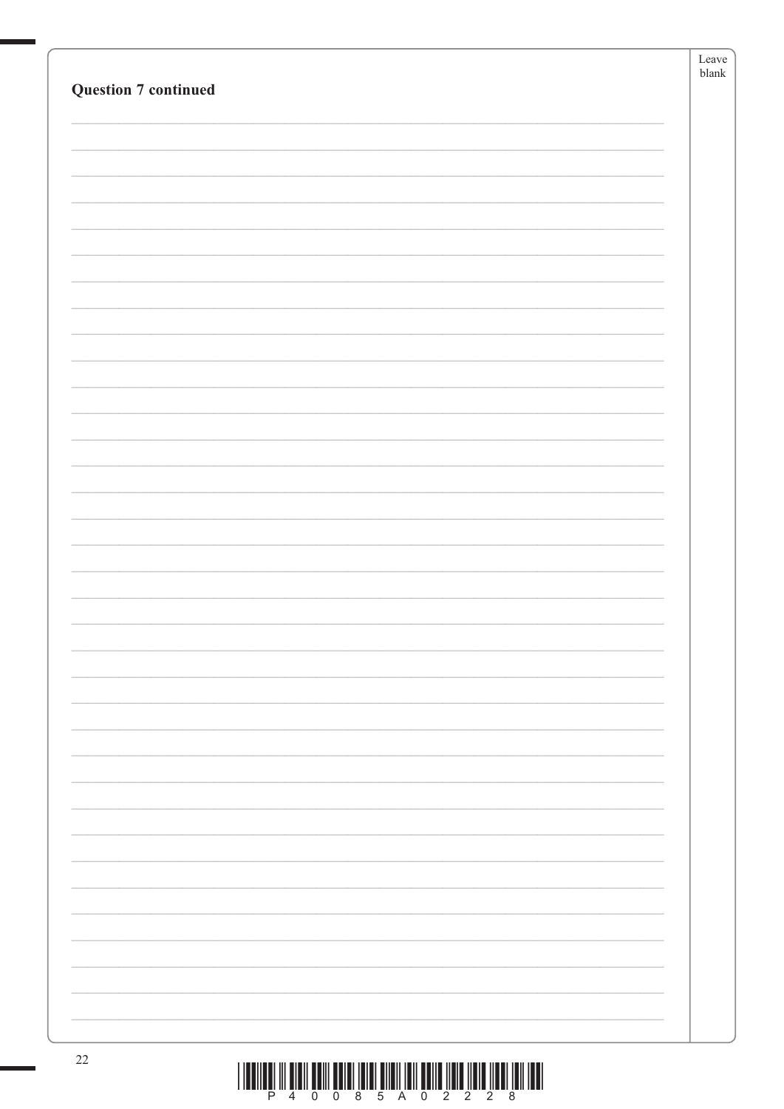| <b>Question 7 continued</b> | Leave<br>${\tt blank}$ |
|-----------------------------|------------------------|
|                             |                        |
|                             |                        |
|                             |                        |
|                             |                        |
|                             |                        |
|                             |                        |
| 22                          |                        |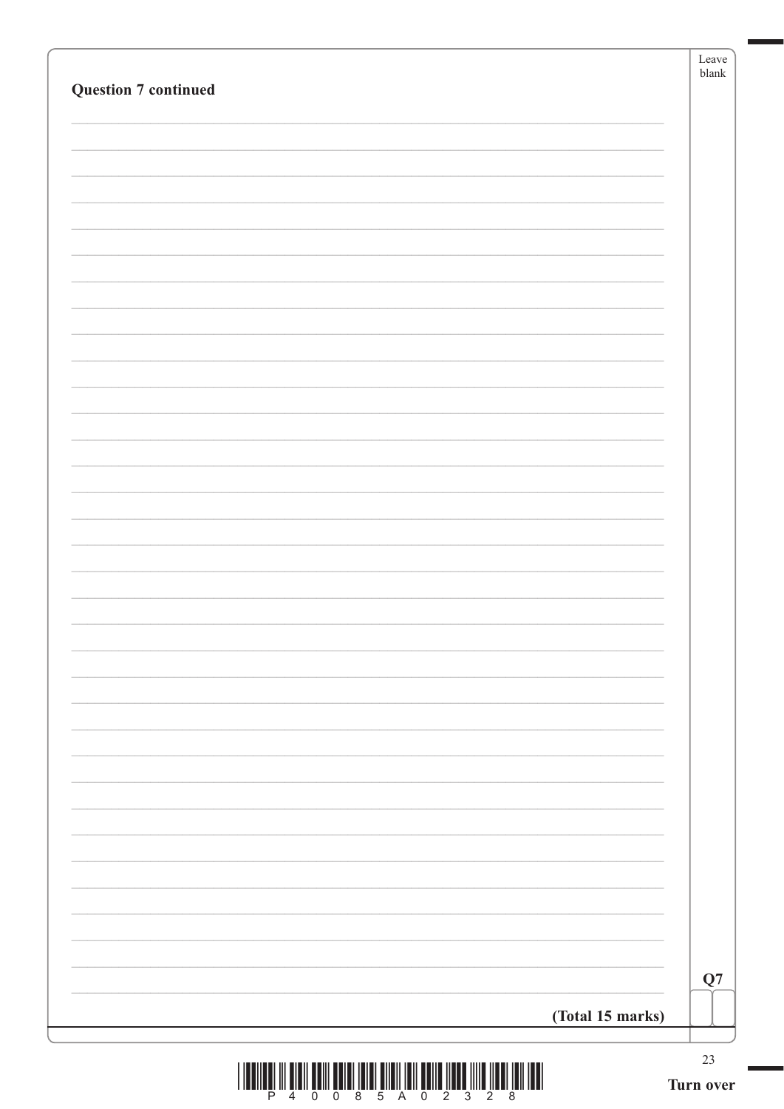|                             | Leave<br>${\tt blank}$ |
|-----------------------------|------------------------|
| <b>Question 7 continued</b> |                        |
|                             |                        |
|                             |                        |
|                             |                        |
|                             |                        |
|                             |                        |
|                             |                        |
|                             |                        |
|                             |                        |
|                             |                        |
|                             |                        |
|                             |                        |
|                             |                        |
|                             |                        |
|                             |                        |
|                             |                        |
|                             |                        |
|                             |                        |
|                             |                        |
|                             |                        |
|                             |                        |
|                             |                        |
|                             |                        |
|                             |                        |
|                             |                        |
|                             |                        |
|                             |                        |
|                             |                        |
|                             |                        |
|                             |                        |
|                             |                        |
|                             | ${\bf Q}7$             |
|                             |                        |
| (Total 15 marks)            |                        |
|                             | 23                     |

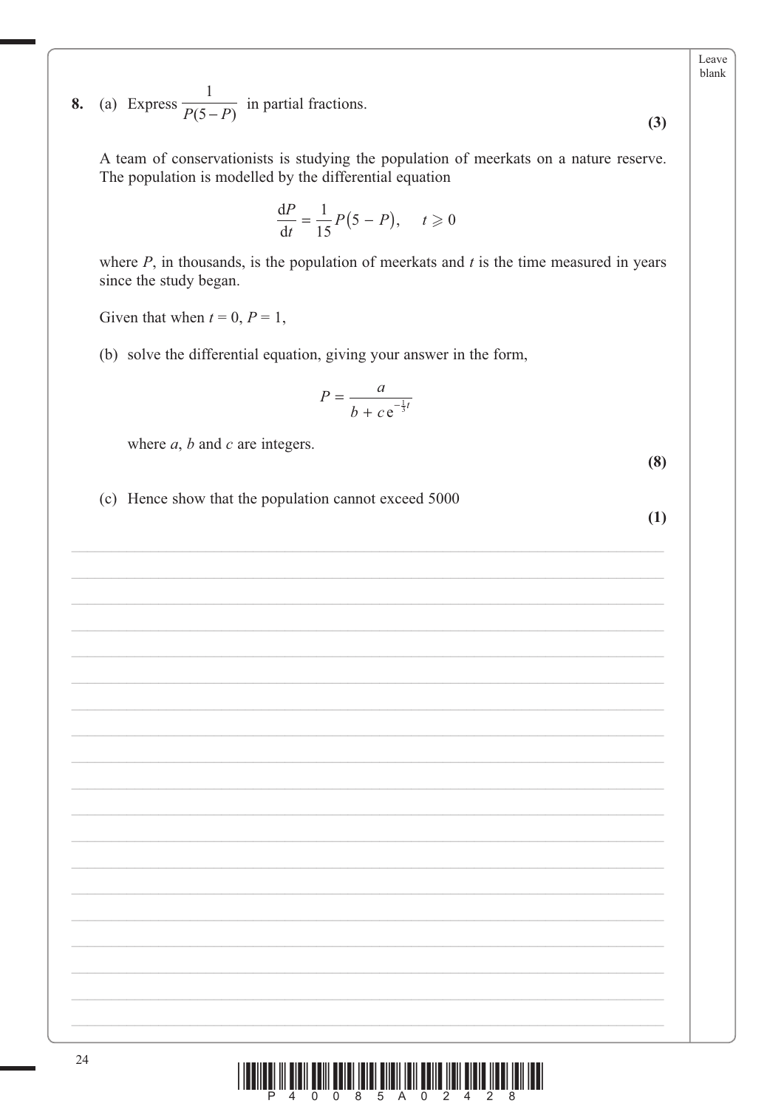Leave blank

 $(3)$ 

(a) Express  $\frac{1}{P(5-P)}$  in partial fractions. 8.

A team of conservationists is studying the population of meerkats on a nature reserve. The population is modelled by the differential equation

$$
\frac{\mathrm{d}P}{\mathrm{d}t} = \frac{1}{15}P(5 - P), \quad t \geq 0
$$

where  $P$ , in thousands, is the population of meerkats and  $t$  is the time measured in years since the study began.

Given that when  $t = 0$ ,  $P = 1$ ,

(b) solve the differential equation, giving your answer in the form,

$$
P = \frac{a}{b + c e^{-\frac{1}{3}t}}
$$

where  $a$ ,  $b$  and  $c$  are integers.

(c) Hence show that the population cannot exceed 5000

 $(1)$ 

 $(8)$ 

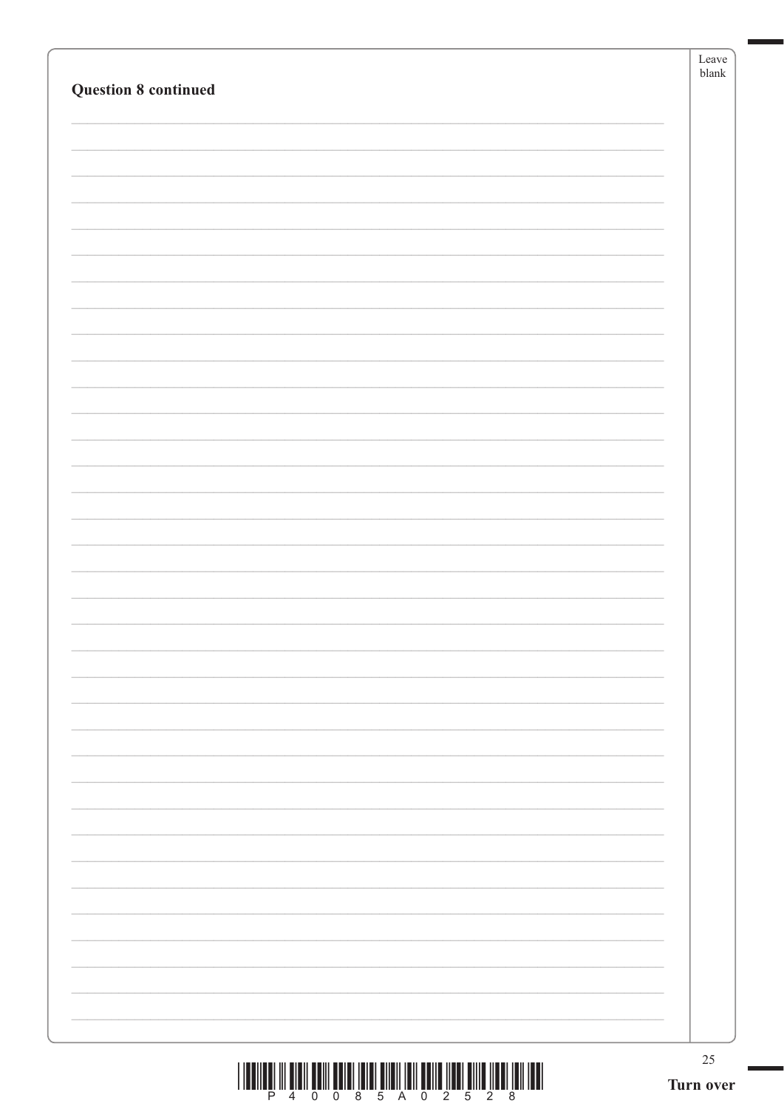| <b>Question 8 continued</b>                                                                                                                                                                                                                                                                                                                                                                                                                                   | Leave<br>${\tt blank}$ |
|---------------------------------------------------------------------------------------------------------------------------------------------------------------------------------------------------------------------------------------------------------------------------------------------------------------------------------------------------------------------------------------------------------------------------------------------------------------|------------------------|
|                                                                                                                                                                                                                                                                                                                                                                                                                                                               |                        |
|                                                                                                                                                                                                                                                                                                                                                                                                                                                               |                        |
|                                                                                                                                                                                                                                                                                                                                                                                                                                                               |                        |
|                                                                                                                                                                                                                                                                                                                                                                                                                                                               |                        |
|                                                                                                                                                                                                                                                                                                                                                                                                                                                               |                        |
|                                                                                                                                                                                                                                                                                                                                                                                                                                                               |                        |
|                                                                                                                                                                                                                                                                                                                                                                                                                                                               |                        |
|                                                                                                                                                                                                                                                                                                                                                                                                                                                               |                        |
|                                                                                                                                                                                                                                                                                                                                                                                                                                                               |                        |
|                                                                                                                                                                                                                                                                                                                                                                                                                                                               |                        |
|                                                                                                                                                                                                                                                                                                                                                                                                                                                               |                        |
|                                                                                                                                                                                                                                                                                                                                                                                                                                                               |                        |
| $\begin{array}{c} \text{if} \ \text{if} \ \text{if} \ \text{if} \ \text{if} \ \text{if} \ \text{if} \ \text{if} \ \text{if} \ \text{if} \ \text{if} \ \text{if} \ \text{if} \ \text{if} \ \text{if} \ \text{if} \ \text{if} \ \text{if} \ \text{if} \ \text{if} \ \text{if} \ \text{if} \ \text{if} \ \text{if} \ \text{if} \ \text{if} \ \text{if} \ \text{if} \ \text{if} \ \text{if} \ \text{if} \ \text{if} \ \text{if} \ \text{if} \ \text{if} \ \text{$ | $25\,$<br>Turn over    |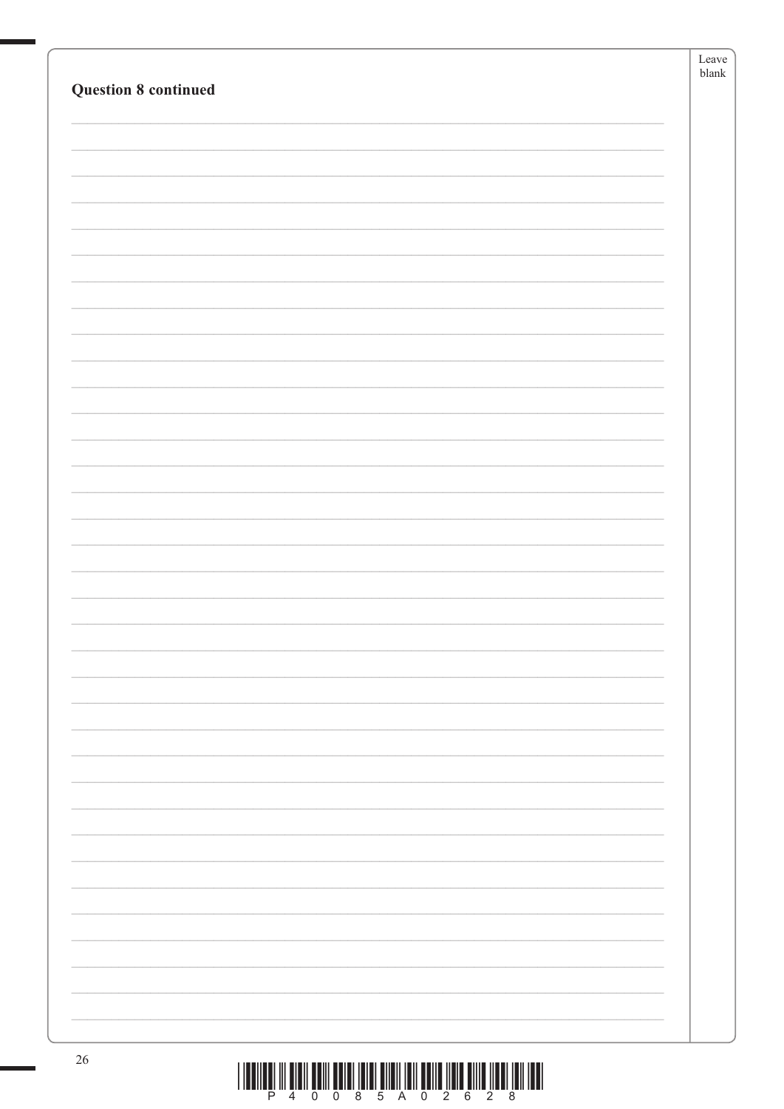| ${\tt blank}$<br><b>Question 8 continued</b> |    | ${\it Leave}$ |
|----------------------------------------------|----|---------------|
|                                              |    |               |
|                                              |    |               |
|                                              |    |               |
|                                              |    |               |
|                                              |    |               |
|                                              |    |               |
|                                              |    |               |
|                                              |    |               |
|                                              |    |               |
|                                              |    |               |
|                                              |    |               |
|                                              |    |               |
|                                              |    |               |
|                                              |    |               |
|                                              |    |               |
|                                              |    |               |
|                                              |    |               |
|                                              |    |               |
|                                              |    |               |
|                                              |    |               |
|                                              |    |               |
|                                              |    |               |
|                                              |    |               |
|                                              |    |               |
|                                              |    |               |
|                                              |    |               |
|                                              |    |               |
|                                              |    |               |
|                                              |    |               |
|                                              |    |               |
|                                              |    |               |
|                                              |    |               |
|                                              |    |               |
|                                              |    |               |
|                                              |    |               |
|                                              |    |               |
|                                              |    |               |
|                                              |    |               |
|                                              |    |               |
|                                              |    |               |
|                                              |    |               |
|                                              |    |               |
|                                              | 26 |               |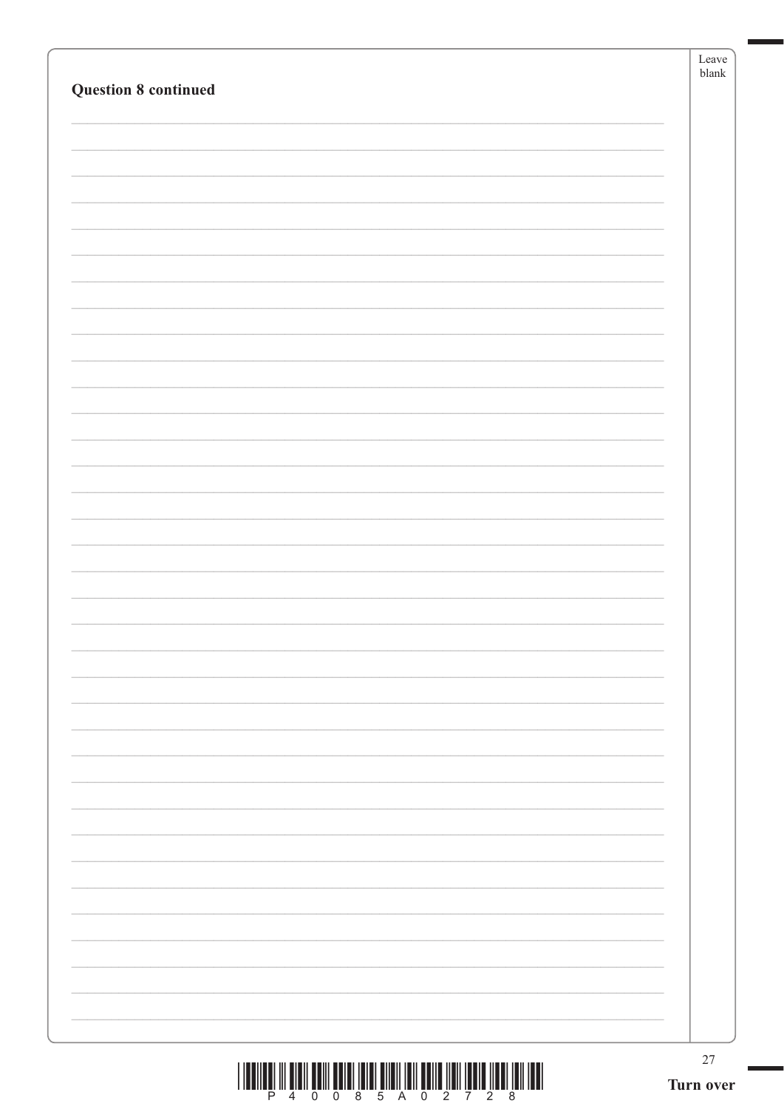| <b>Question 8 continued</b> | Leave<br>${\tt blank}$ |
|-----------------------------|------------------------|
|                             |                        |
|                             |                        |
|                             |                        |
|                             |                        |
|                             |                        |
|                             |                        |
|                             |                        |
|                             |                        |
|                             |                        |
|                             |                        |
|                             |                        |
|                             | $27\,$<br>Turn over    |